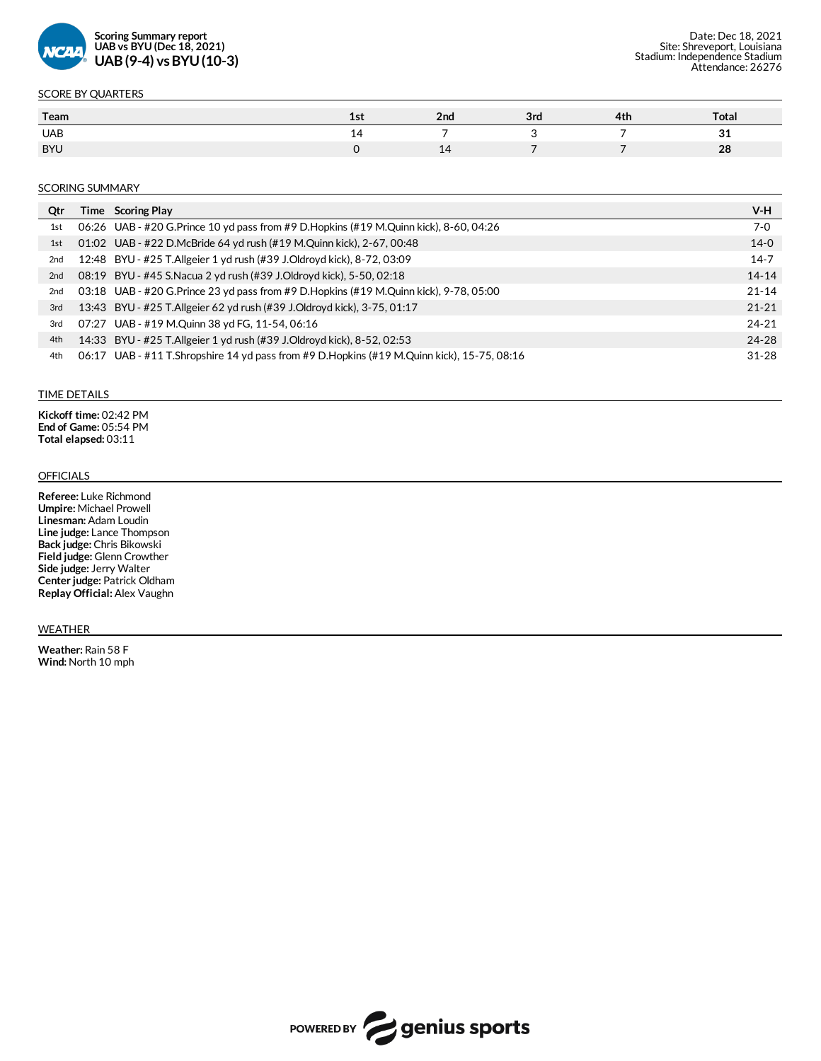

## SCORE BY QUARTERS

| Team       | 19 L | 2nd             | 3rd | 4th | Total |
|------------|------|-----------------|-----|-----|-------|
| <b>UAB</b> |      |                 |     |     | n,    |
| <b>BYU</b> |      | <u>. на стр</u> |     |     | 28    |

### **SCORING SUMMARY**

| Qtr             | Time Scoring Play                                                                          | V-H       |
|-----------------|--------------------------------------------------------------------------------------------|-----------|
| 1st             | 06:26 UAB - #20 G.Prince 10 yd pass from #9 D.Hopkins (#19 M.Quinn kick), 8-60, 04:26      | $7-0$     |
| 1st             | 01:02 UAB - #22 D.McBride 64 yd rush (#19 M.Quinn kick), 2-67, 00:48                       | $14-0$    |
| 2 <sub>nd</sub> | 12:48 BYU - #25 T.Allgeier 1 yd rush (#39 J.Oldroyd kick), 8-72, 03:09                     | $14 - 7$  |
| 2 <sub>nd</sub> | 08:19 BYU - #45 S.Nacua 2 yd rush (#39 J.Oldroyd kick), 5-50, 02:18                        | $14 - 14$ |
| 2 <sub>nd</sub> | 03:18 UAB - #20 G. Prince 23 yd pass from #9 D. Hopkins (#19 M. Quinn kick), 9-78, 05:00   | $21 - 14$ |
| 3rd             | 13:43 BYU - #25 T. Allgeier 62 yd rush (#39 J. Oldroyd kick), 3-75, 01:17                  | $21 - 21$ |
| 3rd             | 07:27 UAB - #19 M.Quinn 38 yd FG, 11-54, 06:16                                             | $24 - 21$ |
| 4th             | 14:33 BYU - #25 T.Allgeier 1 yd rush (#39 J.Oldroyd kick), 8-52, 02:53                     | $24 - 28$ |
| 4th             | 06:17 UAB - #11 T.Shropshire 14 yd pass from #9 D.Hopkins (#19 M.Quinn kick), 15-75, 08:16 | $31 - 28$ |

#### TIME DETAILS

**Kickoff time:** 02:42 PM **End of Game:** 05:54 PM **Total elapsed:** 03:11

### **OFFICIALS**

**Referee:** Luke Richmond **Umpire:** Michael Prowell **Linesman:** Adam Loudin **Line judge:** Lance Thompson **Back judge:** Chris Bikowski **Field judge:** Glenn Crowther **Side judge:**Jerry Walter **Centerjudge:** Patrick Oldham **Replay Official:** Alex Vaughn

#### WEATHER

**Weather:** Rain 58 F **Wind:**North 10 mph

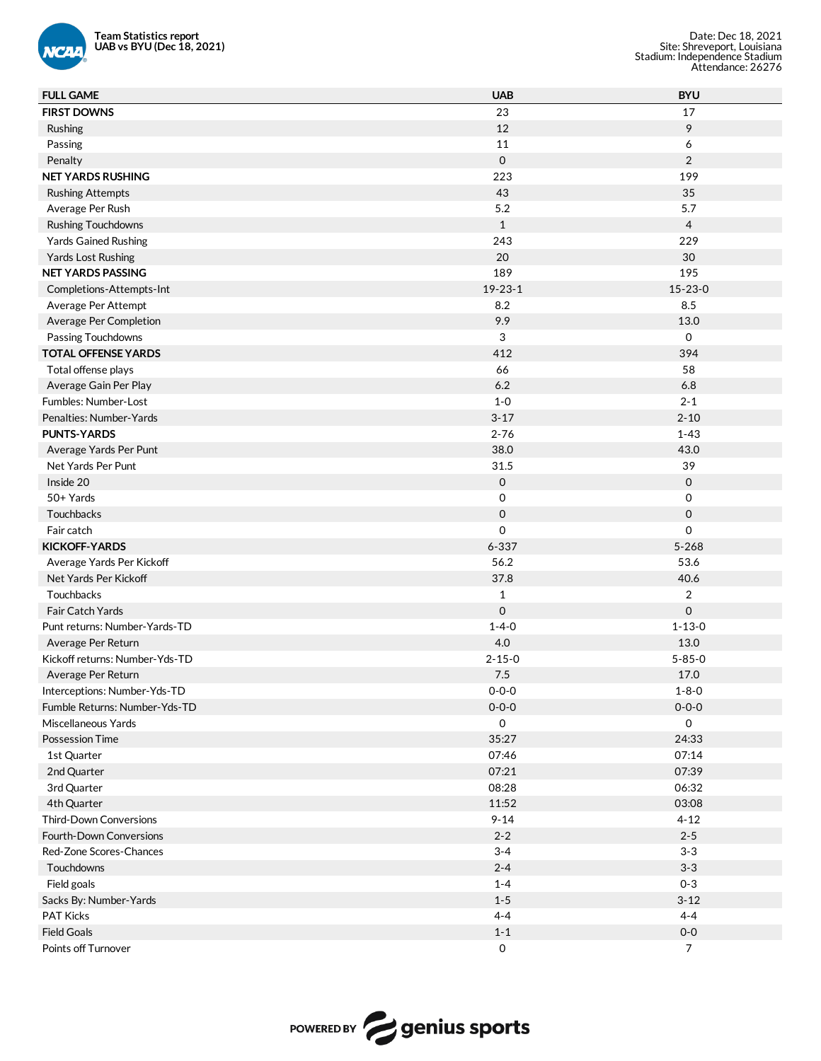

| <b>Team Statistics report</b><br>UAB vs BYU (Dec 18, 2021)<br><b>NCAA</b> |                     | Date: Dec 18, 2021<br>Site: Shreveport, Louisiana<br>Stadium: Independence Stadium<br>Attendance: 26276 |
|---------------------------------------------------------------------------|---------------------|---------------------------------------------------------------------------------------------------------|
| <b>FULL GAME</b>                                                          | <b>UAB</b>          | <b>BYU</b>                                                                                              |
| <b>FIRST DOWNS</b>                                                        | 23                  | 17                                                                                                      |
| Rushing                                                                   | 12                  | 9                                                                                                       |
| Passing                                                                   | 11                  | 6                                                                                                       |
| Penalty                                                                   | $\mathbf 0$         | $\overline{2}$                                                                                          |
| <b>NET YARDS RUSHING</b>                                                  | 223                 | 199                                                                                                     |
| <b>Rushing Attempts</b>                                                   | 43                  | 35                                                                                                      |
| Average Per Rush                                                          | 5.2                 | 5.7                                                                                                     |
| <b>Rushing Touchdowns</b>                                                 | $\mathbf{1}$        | $\overline{4}$                                                                                          |
| <b>Yards Gained Rushing</b>                                               | 243                 | 229                                                                                                     |
| Yards Lost Rushing                                                        | 20                  | 30                                                                                                      |
| <b>NET YARDS PASSING</b>                                                  | 189                 | 195                                                                                                     |
| Completions-Attempts-Int                                                  | $19 - 23 - 1$       | $15 - 23 - 0$                                                                                           |
| Average Per Attempt                                                       | 8.2                 | 8.5                                                                                                     |
| Average Per Completion                                                    | 9.9                 | 13.0                                                                                                    |
| Passing Touchdowns                                                        | 3                   | $\mathsf{O}$                                                                                            |
| <b>TOTAL OFFENSE YARDS</b>                                                | 412                 | 394                                                                                                     |
| Total offense plays                                                       | 66                  | 58                                                                                                      |
| Average Gain Per Play                                                     | 6.2                 | 6.8                                                                                                     |
| Fumbles: Number-Lost                                                      | $1-0$               | $2 - 1$                                                                                                 |
| Penalties: Number-Yards                                                   | $3 - 17$            | $2 - 10$                                                                                                |
| <b>PUNTS-YARDS</b>                                                        | $2 - 76$            | $1 - 43$                                                                                                |
| Average Yards Per Punt                                                    | 38.0                | 43.0                                                                                                    |
| Net Yards Per Punt                                                        | 31.5                | 39                                                                                                      |
| Inside 20                                                                 | $\mathsf{O}$        | $\mathbf 0$                                                                                             |
| 50+ Yards                                                                 | $\mathbf 0$         | $\mathsf O$                                                                                             |
| Touchbacks                                                                | $\mathbf 0$         | $\mathsf{O}\xspace$                                                                                     |
| Fair catch                                                                | 0                   | 0                                                                                                       |
| <b>KICKOFF-YARDS</b>                                                      | $6 - 337$           | $5 - 268$                                                                                               |
| Average Yards Per Kickoff                                                 | 56.2                | 53.6                                                                                                    |
| Net Yards Per Kickoff                                                     | 37.8                | 40.6                                                                                                    |
| Touchbacks                                                                | $\mathbf{1}$        | $\overline{\mathbf{c}}$                                                                                 |
| Fair Catch Yards                                                          | $\mathbf 0$         | 0                                                                                                       |
| Punt returns: Number-Yards-TD                                             | $1 - 4 - 0$         | $1 - 13 - 0$                                                                                            |
| Average Per Return                                                        | 4.0                 | 13.0                                                                                                    |
| Kickoff returns: Number-Yds-TD                                            | $2 - 15 - 0$        | $5 - 85 - 0$                                                                                            |
| Average Per Return                                                        | $7.5$               | 17.0                                                                                                    |
| Interceptions: Number-Yds-TD                                              | $0 - 0 - 0$         | $1 - 8 - 0$                                                                                             |
| Fumble Returns: Number-Yds-TD                                             | $0 - 0 - 0$         | $0 - 0 - 0$                                                                                             |
| Miscellaneous Yards                                                       | $\mathsf{O}$        | $\mathsf 0$                                                                                             |
| <b>Possession Time</b>                                                    | 35:27               | 24:33                                                                                                   |
|                                                                           | 07:46               | 07:14                                                                                                   |
| 1st Quarter<br>2nd Quarter                                                | 07:21               | 07:39                                                                                                   |
|                                                                           | 08:28               | 06:32                                                                                                   |
| 3rd Quarter                                                               | 11:52               | 03:08                                                                                                   |
| 4th Quarter                                                               |                     |                                                                                                         |
| <b>Third-Down Conversions</b>                                             | $9 - 14$<br>$2 - 2$ | $4 - 12$<br>$2 - 5$                                                                                     |
| <b>Fourth-Down Conversions</b>                                            |                     |                                                                                                         |
| Red-Zone Scores-Chances                                                   | $3 - 4$             | $3 - 3$                                                                                                 |
| Touchdowns                                                                | $2 - 4$             | $3 - 3$                                                                                                 |
| Field goals                                                               | $1 - 4$             | $0 - 3$                                                                                                 |
| Sacks By: Number-Yards                                                    | $1 - 5$             | $3 - 12$                                                                                                |
| <b>PAT Kicks</b>                                                          | $4 - 4$             | $4 - 4$                                                                                                 |
| <b>Field Goals</b>                                                        | $1 - 1$             | $0-0$                                                                                                   |
| Points off Turnover                                                       | $\mathsf{O}\xspace$ | $\overline{7}$                                                                                          |

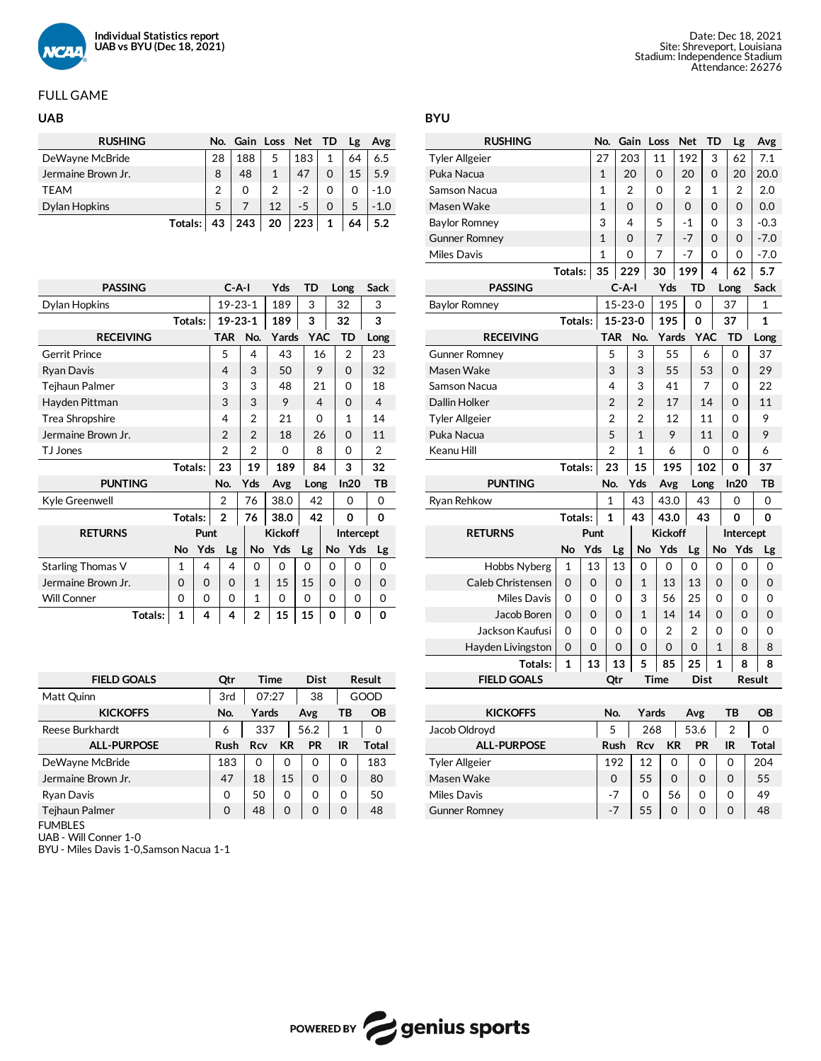

# FULL GAME

| <b>RUSHING</b>     |                | No. Gain Loss Net TD |                |      |              | Lg | Avg    |
|--------------------|----------------|----------------------|----------------|------|--------------|----|--------|
| DeWayne McBride    | 28             | 188                  | 5              | 183  | $\mathbf{1}$ | 64 | 6.5    |
| Jermaine Brown Jr. | 8              | 48                   |                | 47   |              | 15 | 5.9    |
| <b>TEAM</b>        | $\overline{2}$ | 0                    | $\overline{2}$ | $-2$ |              | 0  | $-1.0$ |
| Dylan Hopkins      | 5              |                      | 12             | $-5$ |              |    | $-1.0$ |
| Totals:            | 43             | 243                  | 20             | 223  | $\mathbf{1}$ | 64 | 5.2    |

| <b>PASSING</b>     |          |          |                | $C-A-I$  |                | Yds            | TD   |            | Long           | <b>Sack</b>    |
|--------------------|----------|----------|----------------|----------|----------------|----------------|------|------------|----------------|----------------|
| Dylan Hopkins      |          |          |                |          | $19 - 23 - 1$  | 189            | 3    |            | 32             | 3              |
|                    | Totals:  |          |                |          | $19 - 23 - 1$  | 189            | 3    |            | 32             | 3              |
| <b>RECEIVING</b>   |          |          | <b>TAR</b>     |          | No.            | Yards          |      | <b>YAC</b> | TD             | Long           |
| Gerrit Prince      |          |          | 5              |          | 4              | 43             |      | 16         | $\overline{2}$ | 23             |
| Ryan Davis         |          |          | 4              |          | 3              | 50             |      | 9          | $\Omega$       | 32             |
| Tejhaun Palmer     |          |          | 3              |          | 3              | 48             |      | 21         | 0              | 18             |
| Hayden Pittman     |          |          | 3              |          | 3              | 9              |      | 4          | $\Omega$       | 4              |
| Trea Shropshire    |          |          | 4              |          | $\overline{2}$ | 21             |      | $\Omega$   | 1              | 14             |
| Jermaine Brown Jr. |          |          | $\overline{2}$ |          | $\mathfrak{p}$ | 18             |      | 26         | $\Omega$       | 11             |
| TJ Jones           |          |          | $\overline{2}$ |          | 2              | $\Omega$       |      | 8          | 0              | $\overline{2}$ |
|                    | Totals:  |          | 23             |          | 19             | 189            |      | 84         | 3              | 32             |
| <b>PUNTING</b>     |          |          | No.            |          | Yds            | Avg            | Long |            | ln20           | TB             |
| Kyle Greenwell     |          |          | $\overline{2}$ |          | 76             | 38.0           | 42   |            | 0              | $\Omega$       |
|                    | Totals:  |          | $\overline{2}$ |          | 76             | 38.0           | 42   |            | 0              | 0              |
| <b>RETURNS</b>     |          | Punt     |                |          |                | <b>Kickoff</b> |      |            | Intercept      |                |
|                    | No       | Yds      |                | Lg       | No             | Yds            | Lg   | No         | Yds            | Lg             |
| Starling Thomas V  | 1        | 4        |                | 4        | $\Omega$       | 0              | 0    | $\Omega$   | $\Omega$       | 0              |
| Jermaine Brown Jr. | 0        | $\Omega$ |                | 0        | $\mathbf{1}$   | 15             | 15   | $\Omega$   | $\Omega$       | 0              |
| Will Conner        | $\Omega$ | $\Omega$ |                | $\Omega$ | 1              | 0              | 0    | $\Omega$   | $\Omega$       | 0              |
| Totals:            | 1        | 4        |                | 4        | $\overline{2}$ | 15             | 15   | 0          | 0              | 0              |

| <b>FIELD GOALS</b> | Qtr      | <b>Time</b> |           | <b>Dist</b> |          | Result    |  |
|--------------------|----------|-------------|-----------|-------------|----------|-----------|--|
| Matt Quinn         | 3rd      | 07:27       |           | 38          |          | GOOD      |  |
| <b>KICKOFFS</b>    | No.      | Yards       |           | Avg         | ТB       | <b>OB</b> |  |
| Reese Burkhardt    | 6        | 337         |           | 56.2        | 1        | 0         |  |
| <b>ALL-PURPOSE</b> | Rush     | Rcv         | <b>KR</b> | <b>PR</b>   | IR       | Total     |  |
| DeWayne McBride    | 183      | $\Omega$    | 0         | 0           | 0        | 183       |  |
| Jermaine Brown Jr. | 47       | 18          | 15        | $\Omega$    | $\Omega$ | 80        |  |
| Ryan Davis         | $\Omega$ | 50          | 0         | $\Omega$    | 0        | 50        |  |
| Tejhaun Palmer     | $\Omega$ | 48          | $\Omega$  | $\Omega$    | 0        | 48        |  |
| F1 B1 F1 F2        |          |             |           |             |          |           |  |

FUMBLES

UAB - Will Conner 1-0

BYU- Miles Davis 1-0,Samson Nacua 1-1

**BYU**

| <b>RUSHING</b>        |         |      | No.            |                | Gain           | Loss           | Net            | TD           |      | Lg             | Avg       |
|-----------------------|---------|------|----------------|----------------|----------------|----------------|----------------|--------------|------|----------------|-----------|
| <b>Tyler Allgeier</b> |         |      | 27             |                | 203            | 11             | 192            | 3            |      | 62             | 7.1       |
| Puka Nacua            |         |      | $\mathbf{1}$   |                | 20             | 0              | 20             | 0            |      | 20             | 20.0      |
| Samson Nacua          |         |      | 1              |                | 2              | 0              | $\overline{2}$ | 1            |      | $\overline{2}$ | 2.0       |
| Masen Wake            |         |      | 1              |                | 0              | 0              | 0              | 0            |      | 0              | 0.0       |
| Baylor Romney         |         |      | 3              |                | 4              | 5              | $-1$           | 0            |      | 3              | $-0.3$    |
| <b>Gunner Romney</b>  |         |      | $\mathbf{1}$   |                | 0              | 7              | $-7$           | 0            |      | 0              | $-7.0$    |
| Miles Davis           |         |      | $\overline{1}$ |                | 0              | 7              | $-7$           | 0            |      | 0              | $-7.0$    |
|                       | Totals: |      | 35             |                | 229            | 30             | 199            | 4            |      | 62             | 5.7       |
| <b>PASSING</b>        |         |      |                | $C-A-I$        |                | Yds            | TD             |              | Long |                | Sack      |
| Baylor Romney         |         |      |                |                | $15 - 23 - 0$  | 195            | 0              |              | 37   |                | 1         |
|                       | Totals: |      |                |                | 15-23-0        | 195            | 0              |              | 37   |                | 1         |
| <b>RECEIVING</b>      |         |      |                | TAR            | No.            | Yards          |                | <b>YAC</b>   |      | TD             | Long      |
| <b>Gunner Romney</b>  |         |      |                | 5              | 3              | 55             |                | 6            |      | 0              | 37        |
| Masen Wake            |         |      |                | 3              | 3              | 55             |                | 53           |      | 0              | 29        |
| Samson Nacua          |         |      |                | 4              | 3              | 41             |                | 7            |      | 0              | 22        |
| Dallin Holker         |         |      |                | $\overline{2}$ | $\overline{2}$ | 17             |                | 14           |      | 0              | 11        |
| <b>Tyler Allgeier</b> |         |      | 2              | 2              | 12             |                | 11             |              | 0    | 9              |           |
| Puka Nacua            |         |      |                | 5              | $\mathbf{1}$   | 9              |                | 11           |      | 0              | 9         |
| Keanu Hill            |         |      |                | 2              | 1              | 6              |                | 0            |      | 0              | 6         |
|                       | Totals: |      |                | 23             | 15             | 195            |                | 102          |      | 0              | 37        |
| <b>PUNTING</b>        |         |      | No.            |                | Yds            | Avg            | Long           |              |      | In20           | TB        |
| Ryan Rehkow           |         |      |                | 1              | 43             | 43.0           | 43             |              |      | 0              | $\Omega$  |
|                       | Totals: |      | 1              |                | 43             | 43.0           | 43             |              |      | 0              | 0         |
| <b>RETURNS</b>        |         | Punt |                |                |                | <b>Kickoff</b> |                |              |      | Intercept      |           |
|                       | No      | Yds  |                | Lg             | No             | Yds            | Lg             | No           |      | Yds            | Lg        |
| Hobbs Nyberg          | 1       | 13   |                | 13             | 0              | 0              | 0              | 0            |      | 0              | 0         |
| Caleb Christensen     | 0       | 0    |                | 0              | $\mathbf{1}$   | 13             | 13             | 0            |      | 0              | 0         |
| Miles Davis           | 0       | 0    |                | 0              | 3              | 56             | 25             | 0            |      | 0              | 0         |
| Jacob Boren           | 0       | 0    |                | 0              | $\mathbf{1}$   | 14             | 14             | 0            |      | 0              | 0         |
| Jackson Kaufusi       | 0       | 0    |                | 0              | 0              | 2              | 2              | 0            |      | 0              | 0         |
| Hayden Livingston     | 0       | 0    |                | 0              | 0              | 0              | 0              | $\mathbf{1}$ |      | 8              | 8         |
| Totals:               | 1       | 13   |                | 13             | 5              | 85             | 25             | 1            |      | 8              | 8         |
| <b>FIELD GOALS</b>    |         |      |                | Qtr            |                | Time           | Dist           |              |      |                | Result    |
|                       |         |      |                |                |                |                |                |              |      |                |           |
| <b>KICKOFFS</b>       |         |      |                | No.            |                | Yards          | Avg            |              |      | TВ             | <b>OB</b> |

| <b>KICKOFFS</b>       | No.  | Yards |    | Avg       | тв | ОB    |
|-----------------------|------|-------|----|-----------|----|-------|
| Jacob Oldroyd         | 5    | 268   |    | 53.6      | 2  | 0     |
| <b>ALL-PURPOSE</b>    | Rush | Rcv   | КR | <b>PR</b> | IR | Total |
| <b>Tyler Allgeier</b> | 192  | 12    | 0  | 0         | 0  | 204   |
| Masen Wake            | 0    | 55    | 0  | 0         | 0  | 55    |
| Miles Davis           | -7   | 0     | 56 | 0         | 0  | 49    |
| <b>Gunner Romney</b>  | -7   | 55    | 0  | 0         | 0  | 48    |

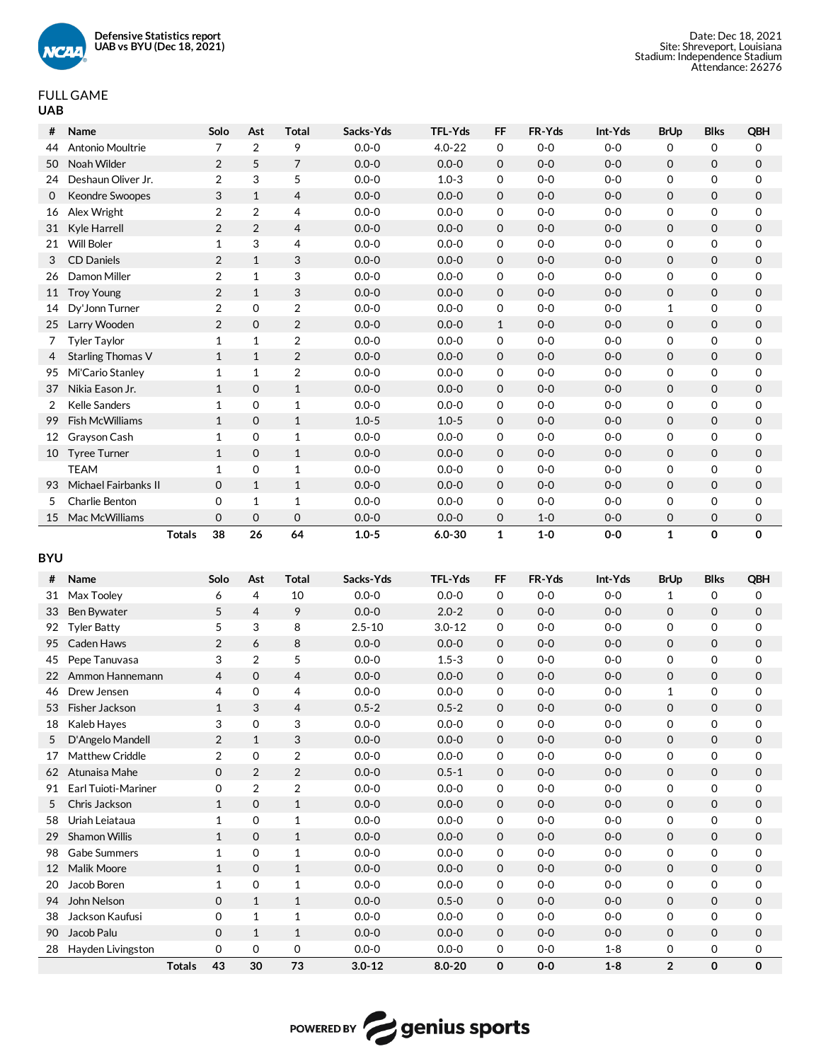

## FULL GAME **UAB**

|                  | Name                            | Solo                | Ast               | Total             | Sacks-Yds              | TFL-Yds                | FF           | FR-Yds         | Int-Yds          | <b>BrUp</b>         | <b>Blks</b> | QBH                 |
|------------------|---------------------------------|---------------------|-------------------|-------------------|------------------------|------------------------|--------------|----------------|------------------|---------------------|-------------|---------------------|
| 44               | Antonio Moultrie                | $\overline{7}$      | $\overline{2}$    | 9                 | $0.0 - 0$              | $4.0 - 22$             | 0            | $0-0$          | $0-0$            | 0                   | 0           | 0                   |
| 50               | Noah Wilder                     | $\overline{2}$      | 5                 | 7                 | $0.0 - 0$              | $0.0 - 0$              | 0            | $0-0$          | $0-0$            | $\mathbf 0$         | 0           | $\mathbf 0$         |
| 24               | Deshaun Oliver Jr.              | $\overline{2}$      | 3                 | 5                 | $0.0 - 0$              | $1.0 - 3$              | 0            | $0-0$          | $0-0$            | 0                   | 0           | 0                   |
| 0                | Keondre Swoopes                 | 3                   | $\mathbf{1}$      | $\overline{4}$    | $0.0 - 0$              | $0.0 - 0$              | 0            | $0-0$          | $0-0$            | $\mathbf 0$         | 0           | $\mathbf 0$         |
| 16               | Alex Wright                     | $\overline{2}$      | $\overline{2}$    | 4                 | $0.0 - 0$              | $0.0 - 0$              | 0            | $0-0$          | $0-0$            | 0                   | 0           | 0                   |
| 31               | Kyle Harrell                    | $\overline{2}$      | 2                 | $\overline{4}$    | $0.0 - 0$              | $0.0 - 0$              | 0            | $0-0$          | $0-0$            | $\mathbf 0$         | 0           | $\mathsf{O}\xspace$ |
| 21               | <b>Will Boler</b>               | $\mathbf 1$         | 3                 | 4                 | $0.0 - 0$              | $0.0 - 0$              | 0            | $0-0$          | $0-0$            | 0                   | 0           | 0                   |
| 3                | <b>CD Daniels</b>               | $\overline{2}$      | $\mathbf{1}$      | 3                 | $0.0 - 0$              | $0.0 - 0$              | 0            | $0-0$          | $0-0$            | $\mathbf 0$         | 0           | $\mathsf{O}\xspace$ |
| 26               | Damon Miller                    | $\overline{2}$      | $\mathbf{1}$      | 3                 | $0.0 - 0$              | $0.0 - 0$              | 0            | $0-0$          | $0-0$            | 0                   | 0           | 0                   |
| 11               | <b>Troy Young</b>               | $\overline{2}$      | $\mathbf{1}$      | 3                 | $0.0 - 0$              | $0.0 - 0$              | 0            | $0-0$          | $0-0$            | $\mathsf 0$         | 0           | $\mathsf{O}\xspace$ |
| 14               | Dy'Jonn Turner                  | $\overline{2}$      | 0                 | $\overline{2}$    | $0.0 - 0$              | $0.0 - 0$              | 0            | $0-0$          | $0-0$            | $\mathbf{1}$        | 0           | 0                   |
| 25               | Larry Wooden                    | $\overline{2}$      | $\mathbf 0$       | $\overline{2}$    | $0.0 - 0$              | $0.0 - 0$              | $\mathbf{1}$ | $0-0$          | $0-0$            | $\mathsf{O}\xspace$ | 0           | $\mathsf{O}\xspace$ |
| 7                | <b>Tyler Taylor</b>             | $\mathbf 1$         | $\mathbf{1}$      | $\overline{2}$    | $0.0 - 0$              | $0.0 - 0$              | 0            | $0-0$          | $0-0$            | 0                   | 0           | 0                   |
| 4                | Starling Thomas V               | $\mathbf{1}$        | $\mathbf{1}$      | $\overline{2}$    | $0.0 - 0$              | $0.0 - 0$              | 0            | $0-0$          | $0-0$            | $\mathbf 0$         | 0           | $\mathsf{O}\xspace$ |
| 95               | Mi'Cario Stanley                | $\mathbf 1$         | $\mathbf{1}$      | $\overline{2}$    | $0.0 - 0$              | $0.0 - 0$              | 0            | $0-0$          | $0-0$            | 0                   | 0           | 0                   |
| 37               | Nikia Eason Jr.                 | $\mathbf{1}$        | $\mathbf 0$       | $\mathbf{1}$      | $0.0 - 0$              | $0.0 - 0$              | 0            | $0-0$          | $0-0$            | $\mathbf 0$         | 0           | $\mathsf{O}\xspace$ |
| $\overline{2}$   | <b>Kelle Sanders</b>            | $\mathbf 1$         | 0                 | $\mathbf{1}$      | $0.0 - 0$              | $0.0 - 0$              | 0            | $0-0$          | $0-0$            | 0                   | 0           | 0                   |
| 99               | Fish McWilliams                 | $\mathbf{1}$        | $\mathbf 0$       | $\mathbf{1}$      | $1.0 - 5$              | $1.0 - 5$              | 0            | $0-0$          | $0-0$            | $\mathbf 0$         | 0           | $\mathsf{O}\xspace$ |
| 12               | Grayson Cash                    | $\mathbf 1$         | 0                 | $\mathbf{1}$      | $0.0 - 0$              | $0.0 - 0$              | 0            | $0-0$          | $0-0$            | 0                   | 0           | 0                   |
| 10               | <b>Tyree Turner</b>             | $\mathbf{1}$        | $\mathbf 0$       | $\mathbf{1}$      | $0.0 - 0$              | $0.0 - 0$              | 0            | $0-0$          | $0-0$            | $\mathbf 0$         | 0           | $\mathsf{O}\xspace$ |
|                  | <b>TEAM</b>                     | 1                   | 0                 | $\mathbf{1}$      | $0.0 - 0$              | $0.0 - 0$              | 0            | $0-0$          | $0-0$            | 0                   | 0           | 0                   |
| 93               | Michael Fairbanks II            | $\mathsf{O}\xspace$ | $\mathbf{1}$      | $\mathbf{1}$      | $0.0 - 0$              | $0.0 - 0$              | 0            | $0-0$          | $0-0$            | $\mathbf 0$         | 0           | $\mathbf 0$         |
| 5                | Charlie Benton                  | 0                   | $\mathbf{1}$      | $\mathbf{1}$      | $0.0 - 0$              | $0.0 - 0$              | 0            | $0-0$          | $0-0$            | 0                   | 0           | 0                   |
| 15               | Mac McWilliams                  | $\mathbf 0$         | $\mathbf 0$       | $\mathbf 0$       | $0.0 - 0$              | $0.0 - 0$              | 0            | $1-0$          | $0-0$            | 0                   | 0           | $\mathbf 0$         |
|                  | <b>Totals</b>                   | 38                  | 26                | 64                | $1.0 - 5$              | $6.0 - 30$             | $\mathbf{1}$ | $1-0$          | $0-0$            | $\mathbf{1}$        | 0           | 0                   |
|                  |                                 |                     |                   |                   |                        |                        |              |                |                  |                     |             |                     |
|                  |                                 |                     |                   |                   |                        |                        |              |                |                  |                     |             |                     |
|                  |                                 |                     |                   |                   |                        |                        |              |                |                  |                     |             |                     |
| #                | Name                            | Solo                | Ast               | Total             | Sacks-Yds              | TFL-Yds                | <b>FF</b>    | FR-Yds         | Int-Yds          | <b>BrUp</b>         | <b>Blks</b> | QBH                 |
| 31               | Max Tooley                      | 6                   | 4                 | 10                | $0.0 - 0$              | $0.0 - 0$              | 0            | $0-0$          | $0-0$            | 1                   | 0           | 0                   |
| 33               | Ben Bywater                     | 5                   | $\overline{4}$    | 9                 | $0.0 - 0$              | $2.0 - 2$              | $\mathbf 0$  | $0-0$          | $0-0$            | 0                   | 0           | 0                   |
| 92               | <b>Tyler Batty</b>              | 5                   | 3                 | 8                 | $2.5 - 10$             | $3.0 - 12$             | 0            | $0-0$          | $0-0$            | 0                   | 0           | 0                   |
| 95               | Caden Haws                      | $\overline{2}$      | 6                 | 8                 | $0.0 - 0$              | $0.0 - 0$              | 0            | $0-0$          | $0-0$            | $\mathsf{O}\xspace$ | 0           | 0                   |
| 45               | Pepe Tanuvasa                   | 3                   | 2                 | 5                 | $0.0 - 0$              | $1.5 - 3$              | 0            | $0-0$          | $0-0$            | 0                   | 0           | 0                   |
| 22               | Ammon Hannemann                 | 4                   | $\mathbf{O}$      | $\overline{4}$    | $0.0 - 0$              | $0.0 - 0$              | 0            | $0-0$          | $0-0$            | $\mathsf{O}\xspace$ | 0           | 0                   |
| 46               | Drew Jensen                     | 4                   | 0                 | 4                 | $0.0 - 0$              | $0.0 - 0$              | 0            | $0-0$          | $0-0$            | $\mathbf{1}$        | 0           | 0                   |
| 53               | Fisher Jackson                  | $\mathbf{1}$        | 3                 | 4                 | $0.5 - 2$              | $0.5 - 2$              | $\mathsf 0$  | $0-0$          | $0-0$            | $\mathsf{O}\xspace$ | 0           | $\mathbf 0$         |
| 18               | Kaleb Hayes                     | 3                   | 0                 | 3                 | $0.0 - 0$              | $0.0 - 0$              | 0            | $0-0$          | $0-0$            | 0                   | $\Omega$    | $\Omega$            |
| 5                | D'Angelo Mandell                | $\overline{2}$      | $\mathbf{1}$      | 3                 | $0.0 - 0$              | $0.0 - 0$              | 0            | $0-0$          | $0-0$            | 0                   | 0           | 0                   |
| 17               | Matthew Criddle                 | 2                   | 0                 | $\overline{2}$    | $0.0 - 0$              | $0.0 - 0$              | 0            | $0-0$          | $0-0$            | 0                   | 0           | 0                   |
|                  | 62 Atunaisa Mahe                | 0                   | $\overline{2}$    | $\overline{2}$    | $0.0 - 0$              | $0.5 - 1$              | 0            | $0-0$          | $0-0$            | 0                   | 0           | 0                   |
| 91               | Earl Tuioti-Mariner             | 0                   | 2                 | $\overline{2}$    | $0.0 - 0$              | $0.0 - 0$              | 0            | $0-0$          | $0-0$            | 0                   | 0           | 0                   |
| <b>BYU</b><br>5  | Chris Jackson                   | $\mathbf{1}$        | 0                 | $\mathbf{1}$      | $0.0 - 0$              | $0.0 - 0$              | 0            | $0-0$          | $0-0$            | 0                   | 0           | 0                   |
| 58               | Uriah Leiataua                  | 1                   | 0                 | $\mathbf{1}$      | $0.0 - 0$              | $0.0 - 0$              | 0            | $0-0$          | $0-0$            | 0                   | 0           | 0                   |
|                  | 29 Shamon Willis                | 1                   | 0                 | $\mathbf{1}$      | $0.0 - 0$              | $0.0 - 0$              | 0            | $0-0$          | $0-0$            | 0                   | 0           | 0                   |
| 98               | Gabe Summers                    | 1                   | 0                 | $\mathbf{1}$      | $0.0 - 0$              | $0.0 - 0$              | 0            | $0-0$          | $0-0$            | 0                   | 0           | 0                   |
| 12 <sup>12</sup> | Malik Moore                     | 1                   | 0                 | $\mathbf{1}$      | $0.0 - 0$              | $0.0 - 0$              | 0            | $0-0$          | $0-0$            | 0                   | 0           | 0                   |
| 20               | Jacob Boren                     | 1                   | 0                 | $\mathbf{1}$      | $0.0 - 0$              | $0.0 - 0$              | 0            | $0-0$          | $0-0$            | 0                   | 0           | 0                   |
|                  | 94 John Nelson                  | 0                   | $\mathbf{1}$      | $\mathbf{1}$      | $0.0 - 0$              | $0.5 - 0$              | 0            | $0-0$          | $0-0$            | 0                   | 0           | 0                   |
| 38               | Jackson Kaufusi                 | 0                   | $\mathbf{1}$      | $\mathbf{1}$      | $0.0 - 0$              | $0.0 - 0$              | 0            | $0-0$          | $0-0$            | 0                   | 0           | 0                   |
| 90<br>28         | Jacob Palu<br>Hayden Livingston | 0<br>0              | $\mathbf{1}$<br>0 | $\mathbf{1}$<br>0 | $0.0 - 0$<br>$0.0 - 0$ | $0.0 - 0$<br>$0.0 - 0$ | 0<br>0       | $0-0$<br>$0-0$ | $0-0$<br>$1 - 8$ | 0<br>0              | 0<br>0      | 0<br>0              |

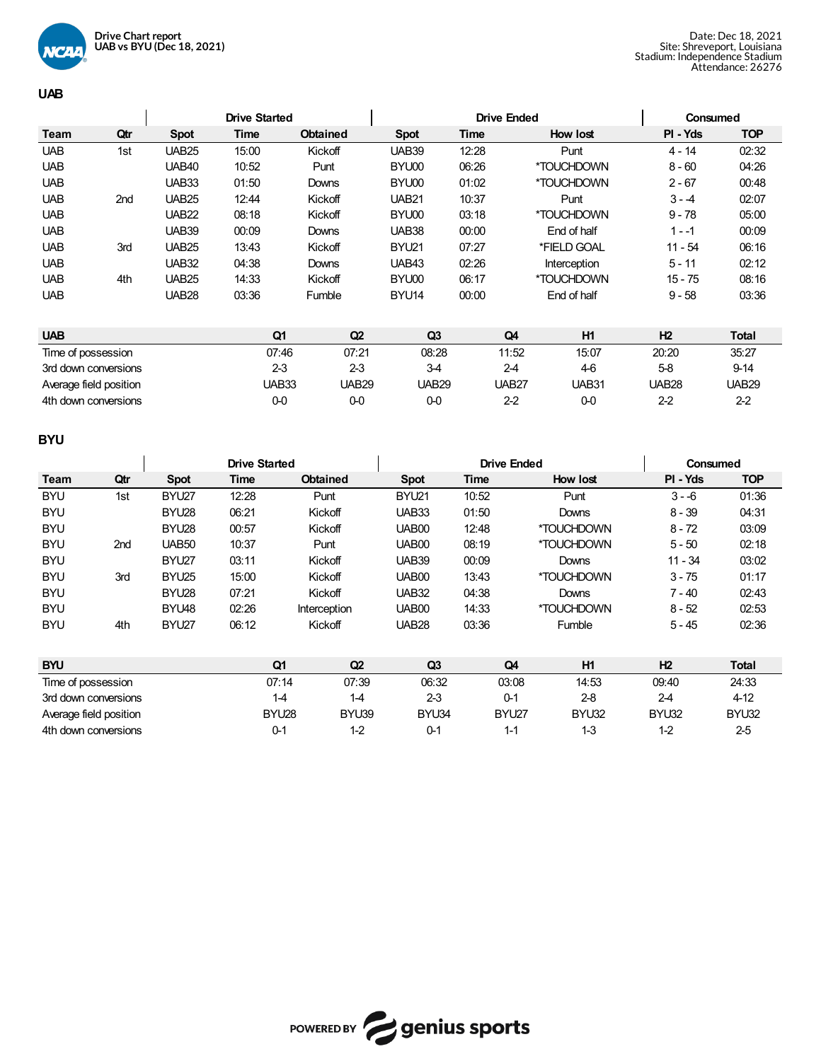

## **UAB**

|                    |                        |              | <b>Drive Started</b> |                 |                | <b>Drive Ended</b> |              | Consumed     |              |
|--------------------|------------------------|--------------|----------------------|-----------------|----------------|--------------------|--------------|--------------|--------------|
| Team               | Qtr                    | <b>Spot</b>  | Time                 | <b>Obtained</b> | <b>Spot</b>    | <b>Time</b>        | How lost     | PI - Yds     | <b>TOP</b>   |
| <b>UAB</b>         | 1st                    | <b>UAB25</b> | 15:00                | Kickoff         | <b>UAB39</b>   | 12:28              | Punt         | $4 - 14$     | 02:32        |
| <b>UAB</b>         |                        | <b>UAB40</b> | 10:52                | Punt            | BYU00          | 06:26              | *TOUCHDOWN   | $8 - 60$     | 04:26        |
| <b>UAB</b>         |                        | UAB33        | 01:50                | Downs           | BYU00          | 01:02              | *TOUCHDOWN   | $2 - 67$     | 00:48        |
| <b>UAB</b>         | 2nd                    | <b>UAB25</b> | 12:44                | Kickoff         | <b>UAB21</b>   | 10:37              | Punt         | $3 - 4$      | 02:07        |
| <b>UAB</b>         |                        | <b>UAB22</b> | 08:18                | Kickoff         | BYU00          | 03:18              | *TOUCHDOWN   | $9 - 78$     | 05:00        |
| <b>UAB</b>         |                        | <b>UAB39</b> | 00:09                | Downs           | UAB38          | 00:00              | End of half  | $1 - -1$     | 00:09        |
| <b>UAB</b>         | 3rd                    | <b>UAB25</b> | 13:43                | Kickoff         | BYU21          | 07:27              | *FIELD GOAL  | $11 - 54$    | 06:16        |
| <b>UAB</b>         |                        | <b>UAB32</b> | 04:38                | <b>Downs</b>    | UAB43          | 02:26              | Interception | $5 - 11$     | 02:12        |
| <b>UAB</b>         | 4th                    | <b>UAB25</b> | 14:33                | Kickoff         | BYU00          | 06:17              | *TOUCHDOWN   | $15 - 75$    | 08:16        |
| <b>UAB</b>         |                        | <b>UAB28</b> | 03:36                | Fumble          | BYU14          | 00:00              | End of half  | $9 - 58$     | 03:36        |
|                    |                        |              |                      |                 |                |                    |              |              |              |
| <b>UAB</b>         |                        |              | Q1                   | Q2              | Q <sub>3</sub> | Q4                 | H1           | H2           | <b>Total</b> |
| Time of possession |                        |              | 07:46                | 07:21           | 08:28          | 11:52              | 15:07        | 20:20        | 35:27        |
|                    | 3rd down conversions   |              | $2-3$                | $2-3$           | $3-4$          | $2-4$              | 46           | $5-8$        | $9 - 14$     |
|                    | Average field position |              | UAB33                | <b>UAB29</b>    | <b>UAB29</b>   | UAB <sub>27</sub>  | UAB31        | <b>UAB28</b> | <b>UAB29</b> |
|                    | 4th down conversions   |              | $0-0$                | $0-0$           | $0-0$          | $2 - 2$            | $0 - 0$      | $2 - 2$      | $2-2$        |

# **BYU**

|                    |                        |                   |       | <b>Drive Started</b> |                 |                | <b>Drive Ended</b> |            |                | Consumed   |
|--------------------|------------------------|-------------------|-------|----------------------|-----------------|----------------|--------------------|------------|----------------|------------|
| Team               | Qtr                    | <b>Spot</b>       | Time  |                      | <b>Obtained</b> | <b>Spot</b>    | Time               | How lost   | PI - Yds       | <b>TOP</b> |
| <b>BYU</b>         | 1st                    | BYU27             | 12:28 |                      | Punt            | BYU21          | 10:52              | Punt       | $3 - 6$        | 01:36      |
| <b>BYU</b>         |                        | BYU28             | 06:21 |                      | Kickoff         | UAB33          | 01:50              | Downs      | $8 - 39$       | 04:31      |
| <b>BYU</b>         |                        | BYU28             | 00:57 |                      | Kickoff         | <b>UAB00</b>   | 12:48              | *TOUCHDOWN | $8 - 72$       | 03:09      |
| <b>BYU</b>         | 2 <sub>nd</sub>        | <b>UAB50</b>      | 10:37 |                      | Punt            | <b>UAB00</b>   | 08:19              | *TOUCHDOWN | $5 - 50$       | 02:18      |
| <b>BYU</b>         |                        | BYU27             | 03:11 |                      | Kickoff         | <b>UAB39</b>   | 00:09              | Downs      | $11 - 34$      | 03:02      |
| <b>BYU</b>         | 3rd                    | BYU <sub>25</sub> | 15:00 |                      | Kickoff         | <b>UAB00</b>   | 13:43              | *TOUCHDOWN | $3 - 75$       | 01:17      |
| <b>BYU</b>         |                        | BYU28             | 07:21 |                      | Kickoff         | <b>UAB32</b>   | 04:38              | Downs      | $7 - 40$       | 02:43      |
| <b>BYU</b>         |                        | BYU48             | 02:26 |                      | Interception    | UAB00          | 14:33              | *TOUCHDOWN | $8 - 52$       | 02:53      |
| <b>BYU</b>         | 4th                    | BYU27             | 06:12 |                      | Kickoff         | <b>UAB28</b>   | 03:36              | Fumble     | $5 - 45$       | 02:36      |
|                    |                        |                   |       |                      |                 |                |                    |            |                |            |
| <b>BYU</b>         |                        |                   |       | Q1                   | Q2              | Q <sub>3</sub> | Q4                 | <b>H1</b>  | H <sub>2</sub> | Total      |
| Time of possession |                        |                   |       | 07:14                | 07:39           | 06:32          | 03:08              | 14:53      | 09:40          | 24:33      |
|                    | 3rd down conversions   |                   |       | $1 - 4$              | $1-4$           | $2-3$          | $0 - 1$            | $2-8$      | $2 - 4$        | 4-12       |
|                    | Average field position |                   |       | BYU28                | BYU39           | BYU34          | BYU27              | BYU32      | BYU32          | BYU32      |
|                    | 4th down conversions   |                   |       | $0 - 1$              | $1-2$           | $0-1$          | $1 - 1$            | $1-3$      | $1 - 2$        | $2-5$      |

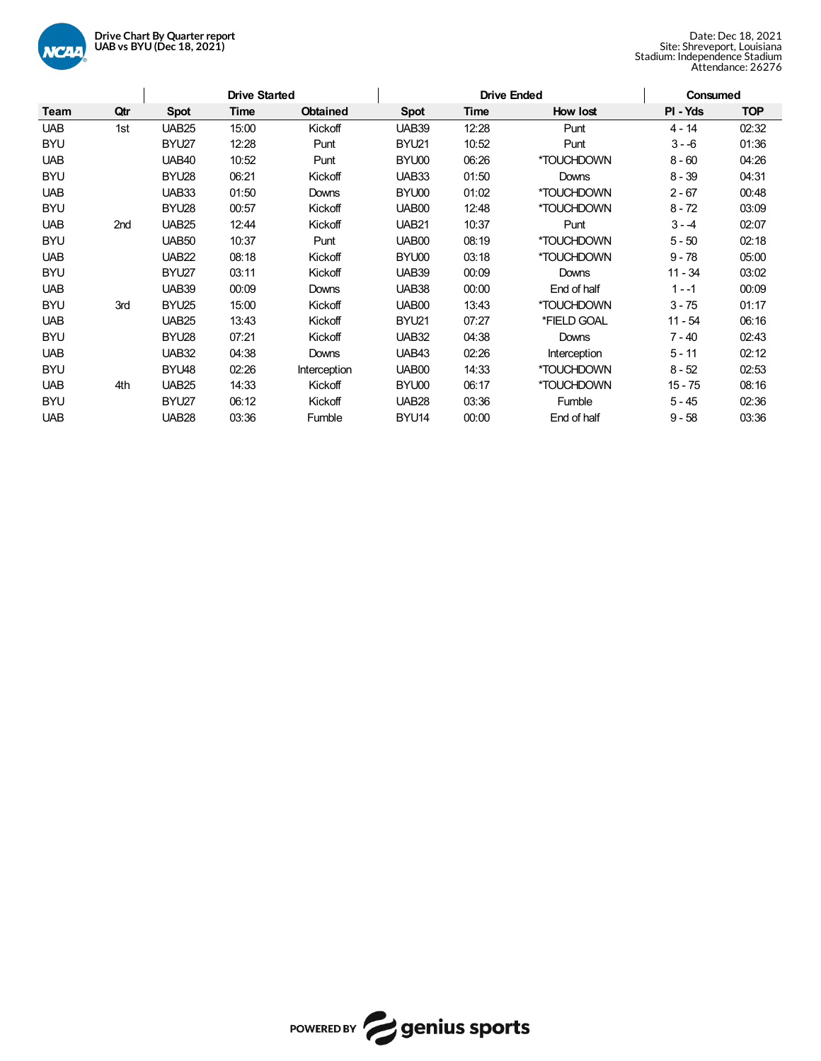

|            |     | <b>Drive Started</b> |       |                 |              | <b>Drive Ended</b> |              | <b>Consumed</b> |            |
|------------|-----|----------------------|-------|-----------------|--------------|--------------------|--------------|-----------------|------------|
| Team       | Qtr | <b>Spot</b>          | Time  | <b>Obtained</b> | <b>Spot</b>  | Time               | How lost     | PI - Yds        | <b>TOP</b> |
| <b>UAB</b> | 1st | <b>UAB25</b>         | 15:00 | Kickoff         | <b>UAB39</b> | 12:28              | Punt         | $4 - 14$        | 02:32      |
| <b>BYU</b> |     | BYU27                | 12:28 | Punt            | BYU21        | 10:52              | Punt         | $3 - 6$         | 01:36      |
| <b>UAB</b> |     | <b>UAB40</b>         | 10:52 | Punt            | BYU00        | 06:26              | *TOUCHDOWN   | $8 - 60$        | 04:26      |
| <b>BYU</b> |     | BYU <sub>28</sub>    | 06:21 | Kickoff         | UAB33        | 01:50              | Downs        | $8 - 39$        | 04:31      |
| <b>UAB</b> |     | <b>UAB33</b>         | 01:50 | Downs           | BYU00        | 01:02              | *TOUCHDOWN   | $2 - 67$        | 00:48      |
| <b>BYU</b> |     | BYU28                | 00:57 | Kickoff         | UAB00        | 12:48              | *TOUCHDOWN   | $8 - 72$        | 03:09      |
| <b>UAB</b> | 2nd | <b>UAB25</b>         | 12:44 | Kickoff         | <b>UAB21</b> | 10:37              | Punt         | $3 - 4$         | 02:07      |
| <b>BYU</b> |     | UAB <sub>50</sub>    | 10:37 | Punt            | UAB00        | 08:19              | *TOUCHDOWN   | $5 - 50$        | 02:18      |
| <b>UAB</b> |     | <b>UAB22</b>         | 08:18 | Kickoff         | BYU00        | 03:18              | *TOUCHDOWN   | $9 - 78$        | 05:00      |
| <b>BYU</b> |     | BYU27                | 03:11 | Kickoff         | <b>UAB39</b> | 00:09              | Downs        | $11 - 34$       | 03:02      |
| <b>UAB</b> |     | <b>UAB39</b>         | 00:09 | Downs           | UAB38        | 00:00              | End of half  | $1 - -1$        | 00:09      |
| <b>BYU</b> | 3rd | BYU <sub>25</sub>    | 15:00 | Kickoff         | UAB00        | 13:43              | *TOUCHDOWN   | $3 - 75$        | 01:17      |
| <b>UAB</b> |     | <b>UAB25</b>         | 13:43 | Kickoff         | BYU21        | 07:27              | *FIELD GOAL  | 11 - 54         | 06:16      |
| <b>BYU</b> |     | BYU28                | 07:21 | Kickoff         | <b>UAB32</b> | 04:38              | Downs        | $7 - 40$        | 02:43      |
| <b>UAB</b> |     | <b>UAB32</b>         | 04:38 | Downs           | UAB43        | 02:26              | Interception | $5 - 11$        | 02:12      |
| <b>BYU</b> |     | BYU48                | 02:26 | Interception    | UAB00        | 14:33              | *TOUCHDOWN   | $8 - 52$        | 02:53      |
| <b>UAB</b> | 4th | <b>UAB25</b>         | 14:33 | Kickoff         | BYU00        | 06:17              | *TOUCHDOWN   | $15 - 75$       | 08:16      |
| <b>BYU</b> |     | BYU27                | 06:12 | Kickoff         | <b>UAB28</b> | 03:36              | Fumble       | $5 - 45$        | 02:36      |
| <b>UAB</b> |     | <b>UAB28</b>         | 03:36 | Fumble          | BYU14        | 00:00              | End of half  | $9 - 58$        | 03:36      |

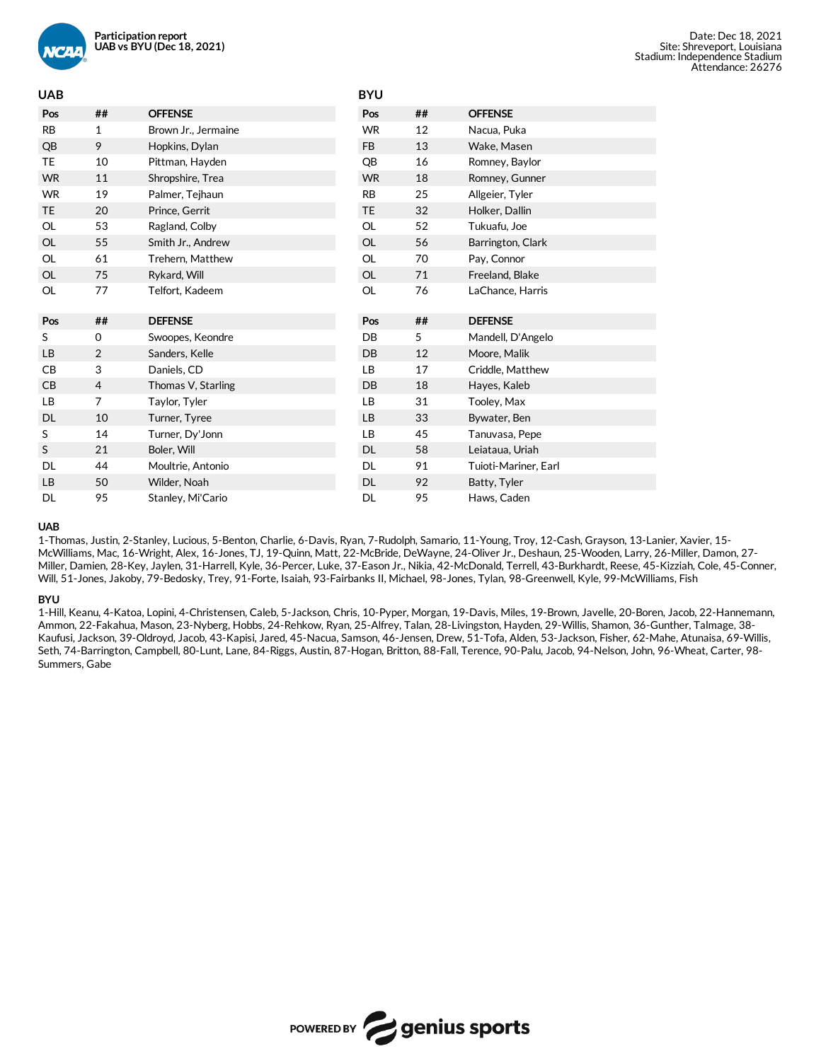

| <b>UAB</b> |                |                     | <b>BYU</b> |    |                      |
|------------|----------------|---------------------|------------|----|----------------------|
| Pos        | ##             | <b>OFFENSE</b>      | Pos        | ## | <b>OFFENSE</b>       |
| <b>RB</b>  | 1              | Brown Jr., Jermaine | <b>WR</b>  | 12 | Nacua, Puka          |
| QB         | 9              | Hopkins, Dylan      | <b>FB</b>  | 13 | Wake, Masen          |
| TE         | 10             | Pittman, Hayden     | QB         | 16 | Romney, Baylor       |
| <b>WR</b>  | 11             | Shropshire, Trea    | <b>WR</b>  | 18 | Romney, Gunner       |
| <b>WR</b>  | 19             | Palmer, Tejhaun     | <b>RB</b>  | 25 | Allgeier, Tyler      |
| <b>TE</b>  | 20             | Prince, Gerrit      | <b>TE</b>  | 32 | Holker, Dallin       |
| OL         | 53             | Ragland, Colby      | <b>OL</b>  | 52 | Tukuafu, Joe         |
| OL         | 55             | Smith Jr., Andrew   | OL         | 56 | Barrington, Clark    |
| OL         | 61             | Trehern, Matthew    | <b>OL</b>  | 70 | Pay, Connor          |
| OL         | 75             | Rykard, Will        | OL         | 71 | Freeland, Blake      |
| OL         | 77             | Telfort, Kadeem     | <b>OL</b>  | 76 | LaChance, Harris     |
|            |                |                     |            |    |                      |
| Pos        | ##             | <b>DEFENSE</b>      | Pos        | ## | <b>DEFENSE</b>       |
| S          | 0              | Swoopes, Keondre    | DB         | 5  | Mandell, D'Angelo    |
| <b>LB</b>  | $\overline{2}$ | Sanders, Kelle      | DB         | 12 | Moore, Malik         |
| CB         | 3              | Daniels, CD         | LB         | 17 | Criddle, Matthew     |
| CB         | 4              | Thomas V, Starling  | DB         | 18 | Hayes, Kaleb         |
| <b>LB</b>  | $\overline{7}$ | Taylor, Tyler       | LB         | 31 | Tooley, Max          |
| DL         | 10             | Turner, Tyree       | LB         | 33 | Bywater, Ben         |
| S          | 14             | Turner, Dy'Jonn     | LB         | 45 | Tanuvasa, Pepe       |
| S          | 21             | Boler, Will         | DL         | 58 | Leiataua, Uriah      |
| DL         | 44             | Moultrie, Antonio   | DL         | 91 | Tuioti-Mariner, Earl |
| LB         | 50             | Wilder, Noah        | DL         | 92 | Batty, Tyler         |

### **UAB**

1-Thomas, Justin, 2-Stanley, Lucious, 5-Benton, Charlie, 6-Davis, Ryan, 7-Rudolph, Samario, 11-Young, Troy, 12-Cash, Grayson, 13-Lanier, Xavier, 15- McWilliams, Mac, 16-Wright, Alex, 16-Jones, TJ, 19-Quinn, Matt, 22-McBride, DeWayne, 24-OliverJr., Deshaun, 25-Wooden, Larry, 26-Miller, Damon, 27- Miller, Damien, 28-Key, Jaylen, 31-Harrell, Kyle, 36-Percer, Luke, 37-Eason Jr., Nikia, 42-McDonald, Terrell, 43-Burkhardt, Reese, 45-Kizziah, Cole, 45-Conner, Will, 51-Jones, Jakoby, 79-Bedosky, Trey, 91-Forte, Isaiah, 93-Fairbanks II, Michael, 98-Jones, Tylan, 98-Greenwell, Kyle, 99-McWilliams, Fish

#### **BYU**

1-Hill, Keanu, 4-Katoa, Lopini, 4-Christensen, Caleb, 5-Jackson, Chris, 10-Pyper, Morgan, 19-Davis, Miles, 19-Brown, Javelle, 20-Boren, Jacob, 22-Hannemann, Ammon, 22-Fakahua, Mason, 23-Nyberg, Hobbs, 24-Rehkow, Ryan, 25-Alfrey, Talan, 28-Livingston, Hayden, 29-Willis, Shamon, 36-Gunther, Talmage, 38- Kaufusi, Jackson, 39-Oldroyd, Jacob, 43-Kapisi, Jared, 45-Nacua, Samson, 46-Jensen, Drew, 51-Tofa, Alden, 53-Jackson, Fisher, 62-Mahe, Atunaisa, 69-Willis, Seth, 74-Barrington, Campbell, 80-Lunt, Lane, 84-Riggs, Austin, 87-Hogan, Britton, 88-Fall, Terence, 90-Palu, Jacob, 94-Nelson, John, 96-Wheat, Carter, 98- Summers, Gabe

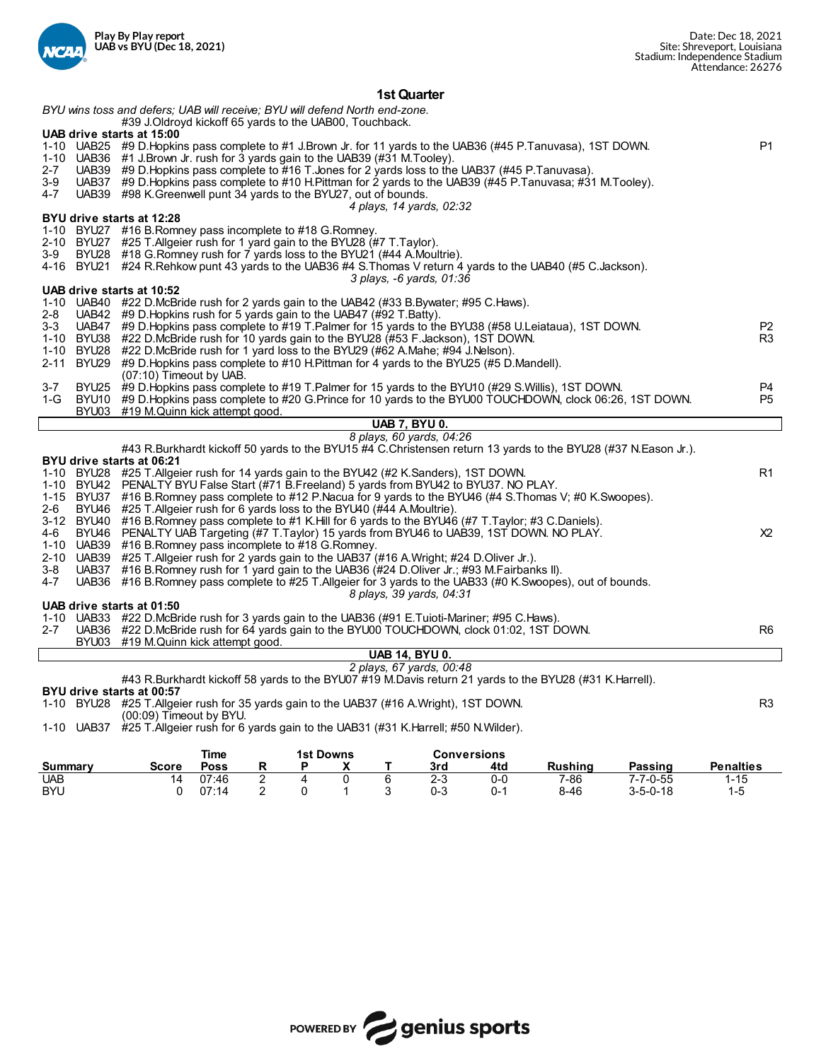

## **1st Quarter**

|         | BYU wins toss and defers; UAB will receive; BYU will defend North end-zone.                                                                                                                          |                                  |
|---------|------------------------------------------------------------------------------------------------------------------------------------------------------------------------------------------------------|----------------------------------|
|         | #39 J.Oldroyd kickoff 65 yards to the UAB00, Touchback.<br>UAB drive starts at 15:00                                                                                                                 |                                  |
|         | 1-10 UAB25 #9 D. Hopkins pass complete to #1 J. Brown Jr. for 11 yards to the UAB36 (#45 P. Tanuvasa), 1ST DOWN.                                                                                     | <b>P1</b>                        |
|         | 1-10 UAB36 $\#$ 1 J.Brown Jr. rush for 3 yards gain to the UAB39 ( $#$ 31 M.Tooley).                                                                                                                 |                                  |
| $2 - 7$ | UAB39 #9 D. Hopkins pass complete to #16 T. Jones for 2 yards loss to the UAB37 (#45 P. Tanuvasa).                                                                                                   |                                  |
| 3-9     | UAB37 #9 D.Hopkins pass complete to #10 H.Pittman for 2 yards to the UAB39 (#45 P.Tanuvasa; #31 M.Tooley).                                                                                           |                                  |
| 4-7     | UAB39 #98 K. Greenwell punt 34 yards to the BYU27, out of bounds.                                                                                                                                    |                                  |
|         | 4 plays, 14 yards, 02:32                                                                                                                                                                             |                                  |
|         | BYU drive starts at 12:28                                                                                                                                                                            |                                  |
|         | 1-10 BYU27 #16 B.Romney pass incomplete to #18 G.Romney.                                                                                                                                             |                                  |
|         | 2-10 BYU27 #25 T.Allgeier rush for 1 yard gain to the BYU28 (#7 T.Taylor).                                                                                                                           |                                  |
| 3-9     | BYU28 #18 G. Romney rush for 7 yards loss to the BYU21 (#44 A. Moultrie).                                                                                                                            |                                  |
|         | 4-16 BYU21 #24 R.Rehkow punt 43 yards to the UAB36 #4 S.Thomas V return 4 yards to the UAB40 (#5 C.Jackson).                                                                                         |                                  |
|         | 3 plays, -6 yards, 01:36                                                                                                                                                                             |                                  |
|         | UAB drive starts at 10:52                                                                                                                                                                            |                                  |
|         | 1-10 UAB40 #22 D.McBride rush for 2 yards gain to the UAB42 (#33 B.Bywater; #95 C.Haws).                                                                                                             |                                  |
| 2-8     | UAB42 #9 D. Hopkins rush for 5 yards gain to the UAB47 (#92 T. Batty).                                                                                                                               |                                  |
| 3-3     | UAB47 #9 D. Hopkins pass complete to #19 T. Palmer for 15 yards to the BYU38 (#58 U. Leiataua), 1ST DOWN.<br>1-10 BYU38 #22 D.McBride rush for 10 yards gain to the BYU28 (#53 F.Jackson), 1ST DOWN. | P <sub>2</sub><br>R <sub>3</sub> |
|         | 1-10 BYU28 #22 D.McBride rush for 1 yard loss to the BYU29 (#62 A.Mahe; #94 J.Nelson).                                                                                                               |                                  |
|         | 2-11 BYU29 #9 D. Hopkins pass complete to #10 H. Pittman for 4 yards to the BYU25 (#5 D. Mandell).                                                                                                   |                                  |
|         | (07:10) Timeout by UAB.                                                                                                                                                                              |                                  |
| $3 - 7$ | BYU25 #9 D. Hopkins pass complete to #19 T. Palmer for 15 yards to the BYU10 (#29 S. Willis), 1ST DOWN.                                                                                              | P4                               |
| $1-G$   | BYU10 #9 D.Hopkins pass complete to #20 G.Prince for 10 yards to the BYU00 TOUCHDOWN, clock 06:26, 1ST DOWN.                                                                                         | P <sub>5</sub>                   |
|         | BYU03 #19 M.Quinn kick attempt good.                                                                                                                                                                 |                                  |
|         | <b>UAB 7. BYU 0.</b>                                                                                                                                                                                 |                                  |
|         | 8 plays, 60 yards, 04:26                                                                                                                                                                             |                                  |
|         | #43 R.Burkhardt kickoff 50 yards to the BYU15 #4 C.Christensen return 13 yards to the BYU28 (#37 N.Eason Jr.).                                                                                       |                                  |
|         | BYU drive starts at 06:21                                                                                                                                                                            |                                  |
|         | 1-10 BYU28 #25 T. Allgeier rush for 14 yards gain to the BYU42 (#2 K. Sanders), 1ST DOWN.                                                                                                            | R <sub>1</sub>                   |
|         | 1-10 BYU42 PENALTY BYU False Start (#71 B Freeland) 5 yards from BYU42 to BYU37. NO PLAY.                                                                                                            |                                  |
|         | 1-15 BYU37 #16 B.Romney pass complete to #12 P.Nacua for 9 yards to the BYU46 (#4 S.Thomas V; #0 K.Swoopes).                                                                                         |                                  |
| 2-6     | BYU46 #25 T. Allgeier rush for 6 yards loss to the BYU40 (#44 A. Moultrie).                                                                                                                          |                                  |
|         | 3-12 BYU40 #16 B.Romney pass complete to #1 K.Hill for 6 yards to the BYU46 (#7 T.Taylor; #3 C.Daniels).                                                                                             |                                  |
| 4-6     | BYU46 PENALTY UAB Targeting (#7 T.Taylor) 15 yards from BYU46 to UAB39, 1ST DOWN. NO PLAY.                                                                                                           | X <sup>2</sup>                   |
|         | 1-10 UAB39 #16 B.Romney pass incomplete to #18 G.Romney.                                                                                                                                             |                                  |
|         | 2-10 UAB39 #25 T. Allgeier rush for 2 yards gain to the UAB37 (#16 A. Wright; #24 D. Oliver Jr.).                                                                                                    |                                  |
| 3-8     | UAB37 #16 B.Romney rush for 1 yard gain to the UAB36 (#24 D.Oliver Jr.; #93 M.Fairbanks II).                                                                                                         |                                  |
| 4-7     | UAB36 #16 B.Romney pass complete to #25 T.Allgeier for 3 yards to the UAB33 (#0 K.Swoopes), out of bounds.                                                                                           |                                  |
|         | 8 plays, 39 yards, 04:31<br>UAB drive starts at 01:50                                                                                                                                                |                                  |
|         | 1-10 UAB33 #22 D.McBride rush for 3 yards gain to the UAB36 (#91 E.Tuioti-Mariner; #95 C.Haws).                                                                                                      |                                  |
| 2-7     | UAB36 #22 D.McBride rush for 64 yards gain to the BYU00 TOUCHDOWN, clock 01:02, 1ST DOWN.                                                                                                            | R <sub>6</sub>                   |
|         | BYU03 #19 M.Quinn kick attempt good.                                                                                                                                                                 |                                  |
|         | <b>UAB 14, BYU 0.</b>                                                                                                                                                                                |                                  |
|         | 2 plays, 67 yards, 00:48                                                                                                                                                                             |                                  |
|         | #43 R.Burkhardt kickoff 58 yards to the BYU07 #19 M.Davis return 21 yards to the BYU28 (#31 K.Harrell).                                                                                              |                                  |
|         | BYU drive starts at 00:57                                                                                                                                                                            |                                  |
|         | 1-10 BYU28 #25 T.Allgeier rush for 35 yards gain to the UAB37 (#16 A.Wright), 1ST DOWN.                                                                                                              | R <sub>3</sub>                   |
|         | $(00:09)$ Timeout by BYU.                                                                                                                                                                            |                                  |
|         | 1-10 UAB37 #25 T. Allgeier rush for 6 yards gain to the UAB31 (#31 K. Harrell; #50 N. Wilder).                                                                                                       |                                  |
|         |                                                                                                                                                                                                      |                                  |
|         |                                                                                                                                                                                                      |                                  |

|            |              | <b>1st Downs</b> |   | <b>Conversions</b> |         |     |                |                  |                  |
|------------|--------------|------------------|---|--------------------|---------|-----|----------------|------------------|------------------|
| Summary    | <b>Score</b> | Poss             |   | $\cdot$            | 3rd     | 4td | <b>Rushing</b> | Passing          | <b>Penalties</b> |
| UAB        | 14           | 07:46            | - |                    | 2-3     | 0-0 | 7-86           | $7 - 7 - 0 - 55$ | $-15$            |
| <b>BYU</b> |              | 07:14            |   |                    | $0 - 3$ | ባ-  | $8 - 46$       | $3 - 5 - 0 - 18$ | 1-5              |

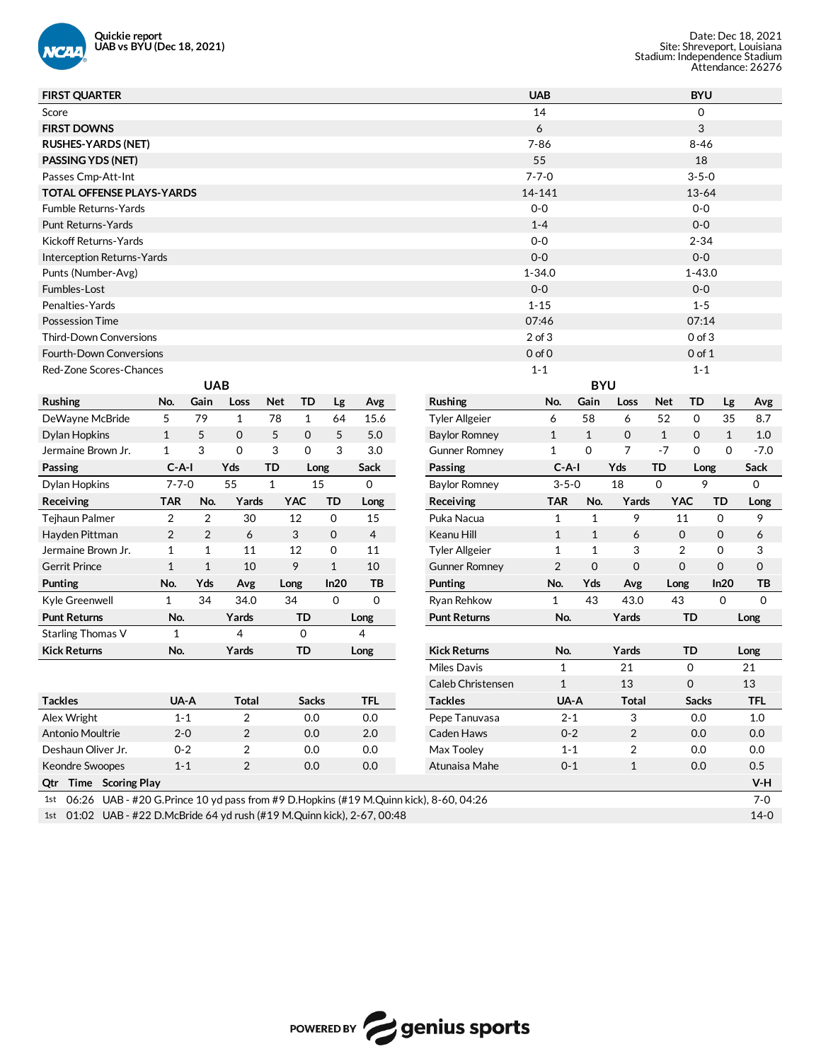

| 13-64                      |
|----------------------------|
|                            |
|                            |
|                            |
|                            |
| $1 - 43.0$                 |
|                            |
|                            |
|                            |
|                            |
|                            |
|                            |
|                            |
| Lg<br>Avg                  |
| 35<br>8.7                  |
| $\mathbf{1}$<br>1.0        |
| $\Omega$<br>$-7.0$         |
| Sack<br>Long               |
| 0                          |
| TD<br>Long                 |
| 9<br>$\mathbf 0$           |
| $\mathbf 0$<br>6           |
| $\mathbf 0$<br>3           |
| $\mathbf 0$<br>$\mathbf 0$ |
| In20<br>TВ                 |
| $\mathbf 0$<br>0           |
| Long                       |
|                            |
| Long                       |
| 21                         |
| 13                         |
| <b>TFL</b>                 |
| 1.0                        |
| 0.0                        |
| 0.0                        |
| 0.5                        |
| $V-H$                      |
| $7 - 0$                    |
| $14 - 0$                   |
|                            |

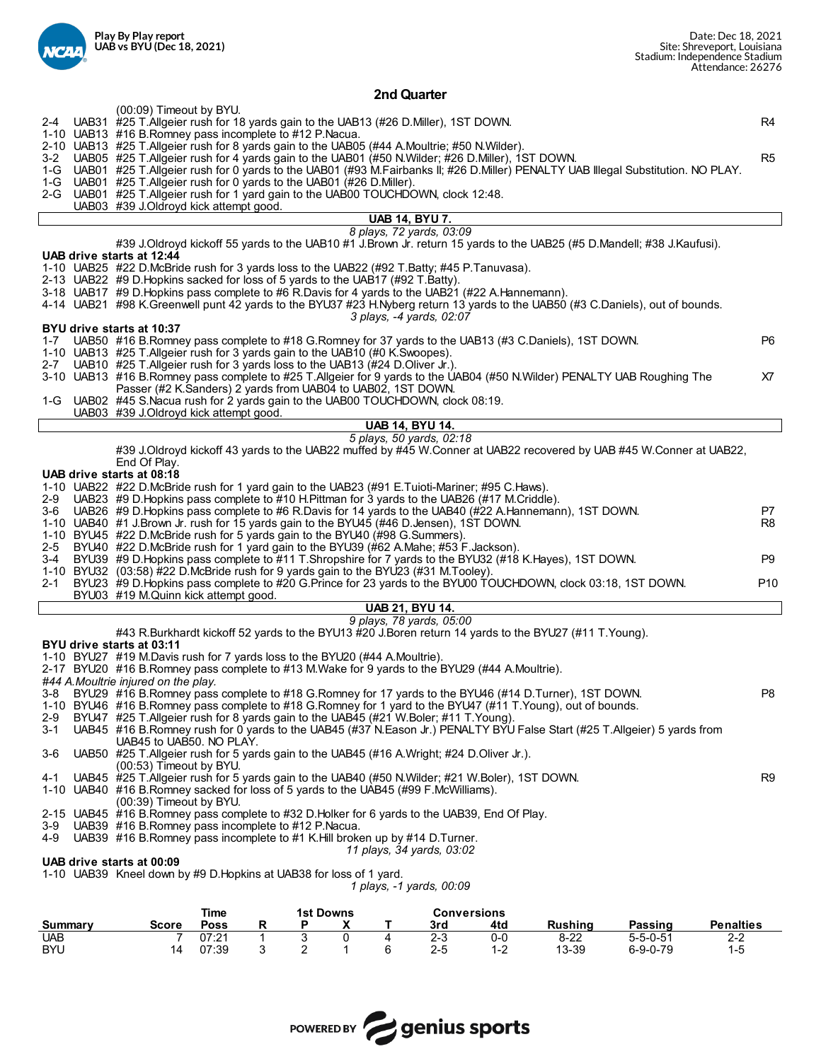

**2nd Quarter**

|                | (00:09) Timeout by BYU.                                                                                  |                     |              |                       |   |   |                                                                                                                                                                                                                                         |       |                |                  |                  |                      |
|----------------|----------------------------------------------------------------------------------------------------------|---------------------|--------------|-----------------------|---|---|-----------------------------------------------------------------------------------------------------------------------------------------------------------------------------------------------------------------------------------------|-------|----------------|------------------|------------------|----------------------|
|                | 1-10 UAB13 #16 B.Romney pass incomplete to #12 P.Nacua.                                                  |                     |              |                       |   |   | 2-4 UAB31 #25 T.Allgeier rush for 18 yards gain to the UAB13 (#26 D.Miller), 1ST DOWN.                                                                                                                                                  |       |                |                  |                  | R4                   |
|                |                                                                                                          |                     |              |                       |   |   | 2-10 UAB13 #25 T. Allgeier rush for 8 yards gain to the UAB05 (#44 A. Moultrie; #50 N. Wilder).                                                                                                                                         |       |                |                  |                  |                      |
| 3-2            |                                                                                                          |                     |              |                       |   |   | UAB05 #25 T.Aligeier rush for 4 yards gain to the UAB01 (#50 N.Wilder; #26 D.Miller), 1ST DOWN.<br>1-G UAB01 #25 T.Allgeier rush for 0 yards to the UAB01 (#93 M.Fairbanks II; #26 D.Miller) PENALTY UAB Illegal Substitution. NO PLAY. |       |                |                  |                  | R <sub>5</sub>       |
|                | 1-G UAB01 #25 T. Allgeier rush for 0 yards to the UAB01 (#26 D. Miller).                                 |                     |              |                       |   |   |                                                                                                                                                                                                                                         |       |                |                  |                  |                      |
|                |                                                                                                          |                     |              |                       |   |   | 2-G UAB01 #25 T. Allgeier rush for 1 yard gain to the UAB00 TOUCHDOWN, clock 12:48.                                                                                                                                                     |       |                |                  |                  |                      |
|                | UAB03 #39 J.Oldroyd kick attempt good.                                                                   |                     |              |                       |   |   | <b>UAB 14, BYU 7.</b>                                                                                                                                                                                                                   |       |                |                  |                  |                      |
|                |                                                                                                          |                     |              |                       |   |   | 8 plays, 72 yards, 03:09                                                                                                                                                                                                                |       |                |                  |                  |                      |
|                | UAB drive starts at 12:44                                                                                |                     |              |                       |   |   | #39 J.Oldroyd kickoff 55 yards to the UAB10 #1 J.Brown Jr. return 15 yards to the UAB25 (#5 D.Mandell; #38 J.Kaufusi).                                                                                                                  |       |                |                  |                  |                      |
|                |                                                                                                          |                     |              |                       |   |   | 1-10 UAB25 #22 D.McBride rush for 3 yards loss to the UAB22 (#92 T.Batty; #45 P.Tanuvasa).                                                                                                                                              |       |                |                  |                  |                      |
|                | 2-13 UAB22 #9 D. Hopkins sacked for loss of 5 yards to the UAB17 (#92 T. Batty).                         |                     |              |                       |   |   |                                                                                                                                                                                                                                         |       |                |                  |                  |                      |
|                |                                                                                                          |                     |              |                       |   |   | 3-18 UAB17 #9 D. Hopkins pass complete to #6 R. Davis for 4 yards to the UAB21 (#22 A. Hannemann).<br>4-14 UAB21 #98 K.Greenwell punt 42 yards to the BYU37 #23 H.Nyberg return 13 yards to the UAB50 (#3 C.Daniels), out of bounds.    |       |                |                  |                  |                      |
|                |                                                                                                          |                     |              |                       |   |   | 3 plays, -4 yards, 02:07                                                                                                                                                                                                                |       |                |                  |                  |                      |
|                | BYU drive starts at 10:37                                                                                |                     |              |                       |   |   |                                                                                                                                                                                                                                         |       |                |                  |                  | P <sub>6</sub>       |
|                | 1-10 UAB13 #25 T. Allgeier rush for 3 yards gain to the UAB10 (#0 K. Swoopes).                           |                     |              |                       |   |   | 1-7 UAB50 #16 B.Romney pass complete to #18 G.Romney for 37 yards to the UAB13 (#3 C.Daniels), 1ST DOWN.                                                                                                                                |       |                |                  |                  |                      |
|                | 2-7 UAB10 #25 T.Allgeier rush for 3 yards loss to the UAB13 (#24 D.Oliver Jr.).                          |                     |              |                       |   |   |                                                                                                                                                                                                                                         |       |                |                  |                  |                      |
|                | Passer (#2 K.Sanders) 2 yards from UAB04 to UAB02, 1ST DOWN.                                             |                     |              |                       |   |   | 3-10 UAB13 #16 B.Romney pass complete to #25 T.Allgeier for 9 yards to the UAB04 (#50 N.Wilder) PENALTY UAB Roughing The                                                                                                                |       |                |                  |                  | X7                   |
|                |                                                                                                          |                     |              |                       |   |   | 1-G UAB02 #45 S.Nacua rush for 2 yards gain to the UAB00 TOUCHDOWN, clock 08:19.                                                                                                                                                        |       |                |                  |                  |                      |
|                | UAB03 #39 J.Oldroyd kick attempt good.                                                                   |                     |              |                       |   |   |                                                                                                                                                                                                                                         |       |                |                  |                  |                      |
|                |                                                                                                          |                     |              |                       |   |   | <b>UAB 14, BYU 14.</b><br>5 plays, 50 yards, 02:18                                                                                                                                                                                      |       |                |                  |                  |                      |
|                |                                                                                                          |                     |              |                       |   |   | #39 J.Oldroyd kickoff 43 yards to the UAB22 muffed by #45 W.Conner at UAB22 recovered by UAB #45 W.Conner at UAB22,                                                                                                                     |       |                |                  |                  |                      |
|                | End Of Play.                                                                                             |                     |              |                       |   |   |                                                                                                                                                                                                                                         |       |                |                  |                  |                      |
|                | UAB drive starts at 08:18                                                                                |                     |              |                       |   |   | 1-10 UAB22 #22 D.McBride rush for 1 yard gain to the UAB23 (#91 E.Tuioti-Mariner; #95 C.Haws).                                                                                                                                          |       |                |                  |                  |                      |
|                |                                                                                                          |                     |              |                       |   |   | 2-9 UAB23 #9 D. Hopkins pass complete to #10 H. Pittman for 3 yards to the UAB26 (#17 M. Criddle).                                                                                                                                      |       |                |                  |                  |                      |
|                |                                                                                                          |                     |              |                       |   |   | 3-6 UAB26 #9 D.Hopkins pass complete to #6 R.Davis for 14 yards to the UAB40 (#22 A.Hannemann), 1ST DOWN.<br>1-10 UAB40 #1 J.Brown Jr. rush for 15 yards gain to the BYU45 (#46 D.Jensen), 1ST DOWN.                                    |       |                |                  |                  | P7<br>R <sub>8</sub> |
|                | 1-10 BYU45 #22 D.McBride rush for 5 yards gain to the BYU40 (#98 G.Summers).                             |                     |              |                       |   |   |                                                                                                                                                                                                                                         |       |                |                  |                  |                      |
| 2-5            |                                                                                                          |                     |              |                       |   |   | BYU40 #22 D.McBride rush for 1 yard gain to the BYU39 (#62 A.Mahe; #53 F.Jackson).                                                                                                                                                      |       |                |                  |                  |                      |
| 3-4            |                                                                                                          |                     |              |                       |   |   | BYU39 #9 D. Hopkins pass complete to #11 T. Shropshire for 7 yards to the BYU32 (#18 K. Hayes), 1ST DOWN.<br>1-10 BYU32 (03:58) #22 D.McBride rush for 9 yards gain to the BYU23 (#31 M.Tooley).                                        |       |                |                  |                  | P <sub>9</sub>       |
| 2-1            |                                                                                                          |                     |              |                       |   |   | BYU23 #9 D. Hopkins pass complete to #20 G. Prince for 23 yards to the BYU00 TOUCHDOWN, clock 03:18, 1ST DOWN.                                                                                                                          |       |                |                  |                  | P <sub>10</sub>      |
|                | BYU03 #19 M.Quinn kick attempt good.                                                                     |                     |              |                       |   |   | <b>UAB 21, BYU 14.</b>                                                                                                                                                                                                                  |       |                |                  |                  |                      |
|                |                                                                                                          |                     |              |                       |   |   | 9 plays, 78 yards, 05:00                                                                                                                                                                                                                |       |                |                  |                  |                      |
|                |                                                                                                          |                     |              |                       |   |   | #43 R.Burkhardt kickoff 52 yards to the BYU13 #20 J.Boren return 14 yards to the BYU27 (#11 T.Young).                                                                                                                                   |       |                |                  |                  |                      |
|                | BYU drive starts at 03:11<br>1-10 BYU27 #19 M.Davis rush for 7 yards loss to the BYU20 (#44 A.Moultrie). |                     |              |                       |   |   |                                                                                                                                                                                                                                         |       |                |                  |                  |                      |
|                |                                                                                                          |                     |              |                       |   |   | 2-17 BYU20 #16 B.Romney pass complete to #13 M.Wake for 9 yards to the BYU29 (#44 A.Moultrie).                                                                                                                                          |       |                |                  |                  |                      |
|                | #44 A.Moultrie injured on the play.                                                                      |                     |              |                       |   |   |                                                                                                                                                                                                                                         |       |                |                  |                  |                      |
|                |                                                                                                          |                     |              |                       |   |   | 3-8 BYU29 #16 B.Romney pass complete to #18 G.Romney for 17 yards to the BYU46 (#14 D.Turner), 1ST DOWN.<br>1-10 BYU46 #16 B.Romney pass complete to #18 G.Romney for 1 yard to the BYU47 (#11 T.Young), out of bounds.                 |       |                |                  |                  | P8                   |
| 2-9            |                                                                                                          |                     |              |                       |   |   | BYU47 #25 T.Allgeier rush for 8 yards gain to the UAB45 (#21 W.Boler; #11 T.Young).                                                                                                                                                     |       |                |                  |                  |                      |
| 3-1            | UAB45 to UAB50. NO PLAY.                                                                                 |                     |              |                       |   |   | UAB45 #16 B.Romney rush for 0 yards to the UAB45 (#37 N.Eason Jr.) PENALTY BYU False Start (#25 T.Allgeier) 5 yards from                                                                                                                |       |                |                  |                  |                      |
| 3-6            |                                                                                                          |                     |              |                       |   |   | UAB50 #25 T. Allgeier rush for 5 yards gain to the UAB45 (#16 A. Wright; #24 D. Oliver Jr.).                                                                                                                                            |       |                |                  |                  |                      |
|                | (00:53) Timeout by BYU.                                                                                  |                     |              |                       |   |   |                                                                                                                                                                                                                                         |       |                |                  |                  |                      |
| 4-1            |                                                                                                          |                     |              |                       |   |   | UAB45 #25 T. Allgeier rush for 5 yards gain to the UAB40 (#50 N. Wilder; #21 W. Boler), 1ST DOWN.<br>1-10 UAB40 #16 B.Romney sacked for loss of 5 yards to the UAB45 (#99 F.McWilliams).                                                |       |                |                  |                  | R <sub>9</sub>       |
|                | (00:39) Timeout by BYU.                                                                                  |                     |              |                       |   |   |                                                                                                                                                                                                                                         |       |                |                  |                  |                      |
|                |                                                                                                          |                     |              |                       |   |   | 2-15 UAB45 #16 B.Romney pass complete to #32 D.Holker for 6 yards to the UAB39, End Of Play.                                                                                                                                            |       |                |                  |                  |                      |
| 3-9<br>$4 - 9$ | UAB39 #16 B.Romney pass incomplete to #12 P.Nacua.                                                       |                     |              |                       |   |   | UAB39 #16 B.Romney pass incomplete to #1 K.Hill broken up by #14 D.Turner.                                                                                                                                                              |       |                |                  |                  |                      |
|                |                                                                                                          |                     |              |                       |   |   | 11 plays, 34 yards, 03:02                                                                                                                                                                                                               |       |                |                  |                  |                      |
|                | UAB drive starts at 00:09<br>1-10 UAB39 Kneel down by #9 D. Hopkins at UAB38 for loss of 1 yard.         |                     |              |                       |   |   |                                                                                                                                                                                                                                         |       |                |                  |                  |                      |
|                |                                                                                                          |                     |              |                       |   |   | 1 plays, -1 yards, 00:09                                                                                                                                                                                                                |       |                |                  |                  |                      |
|                |                                                                                                          |                     |              |                       |   |   |                                                                                                                                                                                                                                         |       |                |                  |                  |                      |
| <b>Summary</b> | Score                                                                                                    | Time<br><b>Poss</b> | <u>R</u>     | <b>1st Downs</b><br>Ρ | X | Τ | <b>Conversions</b><br>3rd                                                                                                                                                                                                               | 4td   | <b>Rushing</b> | <b>Passing</b>   | <b>Penalties</b> |                      |
| <b>UAB</b>     | 7                                                                                                        | 07:21               | $\mathbf{1}$ | 3                     | 0 | 4 | $2 - 3$                                                                                                                                                                                                                                 | $0-0$ | $8 - 22$       | $5 - 5 - 0 - 51$ | $2 - 2$          |                      |



BYU 14 07:39 3 2 1 6 2-5 1-2 13-39 6-9-0-79 1-5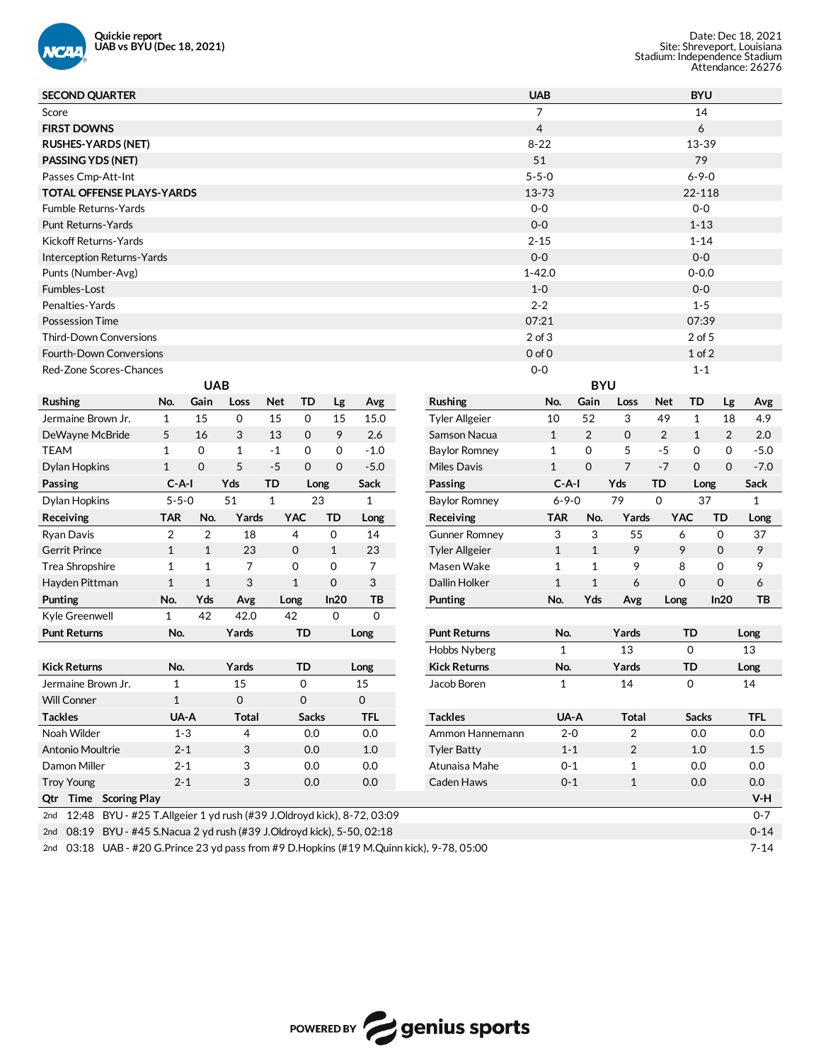

| <b>SECOND QUARTER</b>                                                         |              |              |              |             |              |           |              |                       | <b>UAB</b>     |              |                |                | <b>BYU</b>   |             |             |
|-------------------------------------------------------------------------------|--------------|--------------|--------------|-------------|--------------|-----------|--------------|-----------------------|----------------|--------------|----------------|----------------|--------------|-------------|-------------|
| Score                                                                         |              |              |              |             |              |           |              |                       | $\overline{7}$ |              |                |                | 14           |             |             |
| <b>FIRST DOWNS</b>                                                            |              |              |              |             |              |           |              |                       | $\overline{4}$ |              |                |                | 6            |             |             |
| <b>RUSHES-YARDS (NET)</b>                                                     |              |              |              |             |              |           |              |                       | $8 - 22$       |              |                |                | 13-39        |             |             |
| <b>PASSING YDS (NET)</b>                                                      |              |              |              |             |              |           |              |                       | 51             |              |                |                | 79           |             |             |
| Passes Cmp-Att-Int                                                            |              |              |              |             |              |           |              |                       | $5 - 5 - 0$    |              |                |                | $6 - 9 - 0$  |             |             |
| <b>TOTAL OFFENSE PLAYS-YARDS</b>                                              |              |              |              |             |              |           |              |                       | 13-73          |              |                |                | 22-118       |             |             |
| Fumble Returns-Yards                                                          |              |              |              |             |              |           |              |                       | $0 - 0$        |              |                |                | $0-0$        |             |             |
| Punt Returns-Yards                                                            |              |              |              |             |              |           |              |                       | $0-0$          |              |                |                | $1 - 13$     |             |             |
| Kickoff Returns-Yards                                                         |              |              |              |             |              |           |              |                       | $2 - 15$       |              |                |                | $1 - 14$     |             |             |
| <b>Interception Returns-Yards</b>                                             |              |              |              |             |              |           |              |                       | $0-0$          |              |                |                | $0-0$        |             |             |
| Punts (Number-Avg)                                                            |              |              |              |             |              |           |              |                       | $1 - 42.0$     |              |                |                | $0 - 0.0$    |             |             |
| Fumbles-Lost                                                                  |              |              |              |             |              |           |              |                       | $1 - 0$        |              |                |                | $0-0$        |             |             |
| Penalties-Yards                                                               |              |              |              |             |              |           |              |                       | $2 - 2$        |              |                |                | $1 - 5$      |             |             |
| <b>Possession Time</b>                                                        |              |              |              |             |              |           |              |                       | 07:21          |              |                |                | 07:39        |             |             |
| <b>Third-Down Conversions</b>                                                 |              |              |              |             |              |           |              |                       | $2$ of $3$     |              |                |                | 2 of 5       |             |             |
| <b>Fourth-Down Conversions</b>                                                |              |              |              |             |              |           |              |                       | $0$ of $0$     |              |                |                | $1$ of $2$   |             |             |
| Red-Zone Scores-Chances                                                       |              |              |              |             |              |           |              |                       | $0-0$          |              |                |                | $1 - 1$      |             |             |
|                                                                               |              | <b>UAB</b>   |              |             |              |           |              |                       |                | <b>BYU</b>   |                |                |              |             |             |
| <b>Rushing</b>                                                                | No.          | Gain         | Loss         | <b>Net</b>  | TD           | Lg        | Avg          | Rushing               | No.            | Gain         | Loss           | <b>Net</b>     | <b>TD</b>    | Lg          | Avg         |
| Jermaine Brown Jr.                                                            | 1            | 15           | 0            | 15          | 0            | 15        | 15.0         | <b>Tyler Allgeier</b> | 10             | 52           | 3              | 49             | $\mathbf{1}$ | 18          | 4.9         |
| DeWayne McBride                                                               | 5            | 16           | 3            | 13          | $\mathbf 0$  | 9         | 2.6          | Samson Nacua          | $\mathbf{1}$   | 2            | $\mathbf 0$    | $\overline{2}$ | $\mathbf{1}$ | 2           | 2.0         |
| <b>TEAM</b>                                                                   | 1            | $\mathbf 0$  | $\mathbf{1}$ | $-1$        | 0            | 0         | $-1.0$       | <b>Baylor Romney</b>  | 1              | 0            | 5              | $-5$           | 0            | 0           | $-5.0$      |
| Dylan Hopkins                                                                 | $\mathbf{1}$ | $\mathbf 0$  | 5            | $-5$        | $\mathbf{0}$ | 0         | $-5.0$       | <b>Miles Davis</b>    | $\mathbf{1}$   | $\mathbf 0$  | $\overline{7}$ | $-7$           | $\mathbf 0$  | $\mathbf 0$ | $-7.0$      |
| Passing                                                                       | $C-A-I$      |              | Yds          | TD          | Long         |           | Sack         | Passing               | $C-A-I$        |              | Yds            | TD             | Long         |             | Sack        |
| Dylan Hopkins                                                                 | $5 - 5 - 0$  |              | 51           | $\mathbf 1$ | 23           |           | $\mathbf{1}$ | Baylor Romney         | $6 - 9 - 0$    |              | 79             | $\mathbf 0$    | 37           |             | $\mathbf 1$ |
| Receiving                                                                     | <b>TAR</b>   | No.          | Yards        |             | <b>YAC</b>   | <b>TD</b> | Long         | Receiving             | <b>TAR</b>     | No.          | Yards          |                | <b>YAC</b>   | <b>TD</b>   | Long        |
| Ryan Davis                                                                    | 2            | 2            | 18           |             | 4            | 0         | 14           | <b>Gunner Romney</b>  | 3              | 3            | 55             |                | 6            | 0           | 37          |
| <b>Gerrit Prince</b>                                                          | $\mathbf{1}$ | $\mathbf{1}$ | 23           |             | 0            | 1         | 23           | <b>Tyler Allgeier</b> | $\mathbf{1}$   | $\mathbf{1}$ | 9              |                | 9            | $\mathbf 0$ | 9           |
| Trea Shropshire                                                               | $\mathbf{1}$ | $\mathbf{1}$ | 7            |             | 0            | 0         | 7            | Masen Wake            | $\mathbf{1}$   | $\mathbf{1}$ | 9              |                | 8            | 0           | 9           |
| Hayden Pittman                                                                | $\mathbf{1}$ | $\mathbf{1}$ | 3            |             | $\mathbf{1}$ | 0         | 3            | Dallin Holker         | $\mathbf{1}$   | $\mathbf{1}$ | 6              |                | 0            | $\mathbf 0$ | 6           |
| Punting                                                                       | No.          | Yds          | Avg          | Long        |              | In20      | ТB           | Punting               | No.            | Yds          | Avg            | Long           |              | ln20        | ТB          |
| Kyle Greenwell                                                                | $\mathbf{1}$ | 42           | 42.0         |             | 42           | 0         | 0            |                       |                |              |                |                |              |             |             |
| <b>Punt Returns</b>                                                           | No.          |              | Yards        |             | <b>TD</b>    |           | Long         | <b>Punt Returns</b>   | No.            |              | Yards          |                | TD           |             | Long        |
|                                                                               |              |              |              |             |              |           |              | Hobbs Nyberg          | 1              |              | 13             |                | $\mathbf 0$  |             | 13          |
| <b>Kick Returns</b>                                                           | No.          |              | Yards        |             | TD           |           | Long         | <b>Kick Returns</b>   | No.            |              | Yards          |                | <b>TD</b>    |             | Long        |
| Jermaine Brown Jr.                                                            | 1            |              | 15           |             | 0            |           | 15           | Jacob Boren           | 1              |              | 14             |                | 0            |             | 14          |
| <b>Will Conner</b>                                                            | $\mathbf{1}$ |              | 0            |             | $\mathsf{O}$ |           | $\mathsf 0$  |                       |                |              |                |                |              |             |             |
| <b>Tackles</b>                                                                | UA-A         |              | <b>Total</b> |             | <b>Sacks</b> |           | <b>TFL</b>   | <b>Tackles</b>        | UA-A           |              | <b>Total</b>   |                | <b>Sacks</b> |             | <b>TFL</b>  |
| Noah Wilder                                                                   | $1 - 3$      |              | 4            |             | 0.0          |           | $0.0\,$      | Ammon Hannemann       | $2 - 0$        |              | $\overline{2}$ |                | 0.0          |             | 0.0         |
| Antonio Moultrie                                                              | $2 - 1$      |              | 3            |             | 0.0          |           | $1.0\,$      | <b>Tyler Batty</b>    | $1 - 1$        |              | $\overline{2}$ |                | 1.0          |             | 1.5         |
| Damon Miller                                                                  | $2 - 1$      |              | 3            |             | $0.0\,$      |           | 0.0          | Atunaisa Mahe         | $0 - 1$        |              | 1              |                | 0.0          |             | 0.0         |
| <b>Troy Young</b>                                                             | $2 - 1$      |              | 3            |             | 0.0          |           | $0.0\,$      | Caden Haws            | $0 - 1$        |              | $\mathbf{1}$   |                | 0.0          |             | 0.0         |
| Qtr Time Scoring Play                                                         |              |              |              |             |              |           |              |                       |                |              |                |                |              |             | V-H         |
| 12:48 BYU - #25 T.Allgeier 1 yd rush (#39 J.Oldroyd kick), 8-72, 03:09<br>2nd |              |              |              |             |              |           |              |                       |                |              |                |                |              |             | $0 - 7$     |
| 2nd 08:19 BYU - #45 S.Nacua 2 yd rush (#39 J.Oldroyd kick), 5-50, 02:18       |              |              |              |             |              |           |              |                       |                |              |                |                |              |             | $0 - 14$    |

2nd 03:18 UAB - #20 G.Prince 23 yd pass from #9 D.Hopkins (#19 M.Quinn kick), 9-78, 05:00 7-14

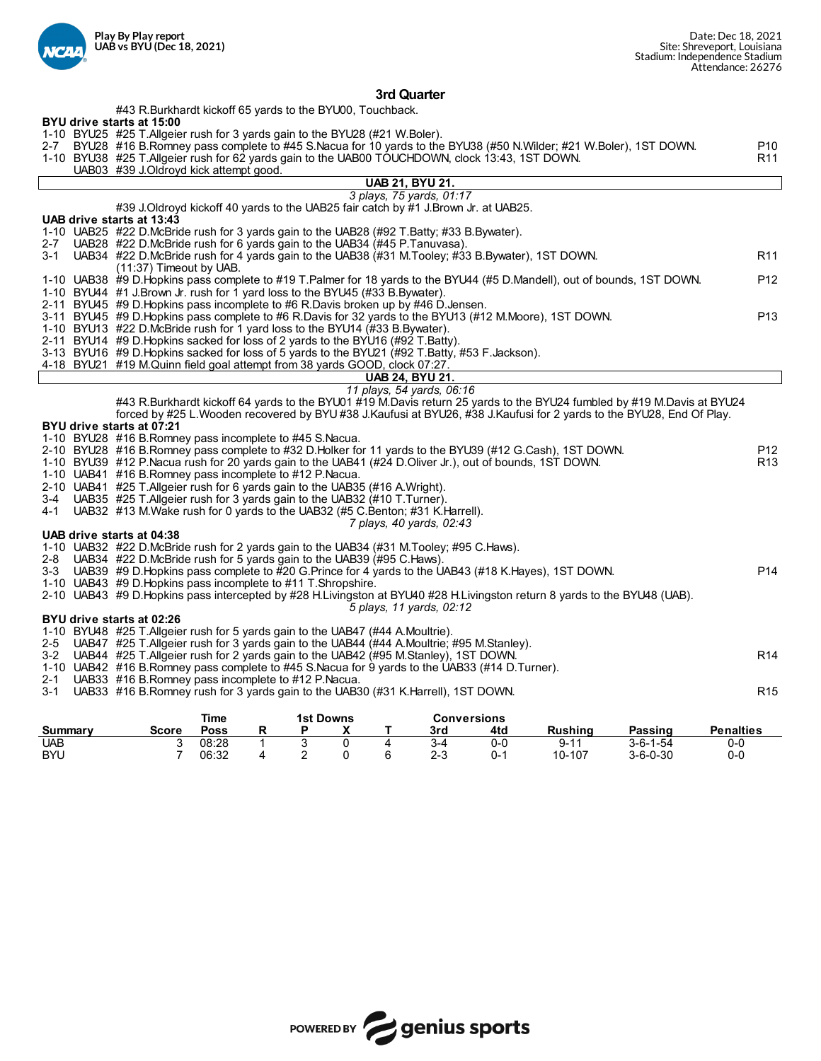

## **3rd Quarter**

|                  | #43 R.Burkhardt kickoff 65 yards to the BYU00, Touchback.                                                                    |                 |
|------------------|------------------------------------------------------------------------------------------------------------------------------|-----------------|
|                  | BYU drive starts at 15:00                                                                                                    |                 |
|                  | 1-10 BYU25 #25 T.Allgeier rush for 3 yards gain to the BYU28 (#21 W.Boler).                                                  |                 |
|                  | 2-7 BYU28 #16 B.Romney pass complete to #45 S.Nacua for 10 yards to the BYU38 (#50 N.Wilder; #21 W.Boler), 1ST DOWN.         | P10             |
|                  | 1-10 BYU38 #25 T.Allgeier rush for 62 yards gain to the UAB00 TOUCHDOWN, clock 13:43, 1ST DOWN.                              | R11             |
|                  | UAB03 #39 J.Oldroyd kick attempt good.                                                                                       |                 |
|                  | <b>UAB 21, BYU 21.</b>                                                                                                       |                 |
|                  | 3 plays, 75 yards, 01:17                                                                                                     |                 |
|                  | #39 J.Oldroyd kickoff 40 yards to the UAB25 fair catch by #1 J.Brown Jr. at UAB25.                                           |                 |
|                  | UAB drive starts at 13:43                                                                                                    |                 |
|                  | 1-10 UAB25 #22 D.McBride rush for 3 yards gain to the UAB28 (#92 T.Batty; #33 B.Bywater).                                    |                 |
|                  | 2-7 UAB28 #22 D.McBride rush for 6 yards gain to the UAB34 (#45 P.Tanuvasa).                                                 |                 |
| $3 - 1$          | UAB34 #22 D.McBride rush for 4 yards gain to the UAB38 (#31 M.Tooley; #33 B.Bywater), 1ST DOWN.                              | R <sub>11</sub> |
|                  | (11:37) Timeout by UAB.                                                                                                      |                 |
|                  | 1-10 UAB38 #9 D.Hopkins pass complete to #19 T.Palmer for 18 yards to the BYU44 (#5 D.Mandell), out of bounds, 1ST DOWN.     | P12             |
|                  | 1-10 BYU44 #1 J.Brown Jr. rush for 1 yard loss to the BYU45 (#33 B.Bywater).                                                 |                 |
|                  | 2-11 BYU45 #9 D. Hopkins pass incomplete to #6 R. Davis broken up by #46 D. Jensen.                                          |                 |
|                  | 3-11 BYU45 #9 D.Hopkins pass complete to #6 R.Davis for 32 yards to the BYU13 (#12 M.Moore), 1ST DOWN.                       | P <sub>13</sub> |
|                  | 1-10 BYU13 #22 D.McBride rush for 1 yard loss to the BYU14 (#33 B.Bywater).                                                  |                 |
|                  | 2-11 BYU14 #9 D. Hopkins sacked for loss of 2 yards to the BYU16 (#92 T. Batty).                                             |                 |
|                  |                                                                                                                              |                 |
|                  | 3-13 BYU16 #9 D.Hopkins sacked for loss of 5 yards to the BYU21 (#92 T.Batty, #53 F.Jackson).                                |                 |
|                  | 4-18 BYU21 #19 M.Quinn field goal attempt from 38 yards GOOD, clock 07:27.                                                   |                 |
|                  | <b>UAB 24. BYU 21.</b>                                                                                                       |                 |
|                  | 11 plays, 54 yards, 06:16                                                                                                    |                 |
|                  | #43 R.Burkhardt kickoff 64 yards to the BYU01 #19 M.Davis return 25 yards to the BYU24 fumbled by #19 M.Davis at BYU24       |                 |
|                  | forced by #25 L. Wooden recovered by BYU #38 J. Kaufusi at BYU26, #38 J. Kaufusi for 2 yards to the BYU28, End Of Play.      |                 |
|                  | BYU drive starts at 07:21                                                                                                    |                 |
|                  | 1-10 BYU28 #16 B.Romney pass incomplete to #45 S.Nacua.                                                                      |                 |
|                  | 2-10 BYU28 #16 B.Romney pass complete to #32 D.Holker for 11 yards to the BYU39 (#12 G.Cash), 1ST DOWN.                      | P <sub>12</sub> |
|                  | 1-10 BYU39 #12 P.Nacua rush for 20 yards gain to the UAB41 (#24 D.Oliver Jr.), out of bounds, 1ST DOWN.                      | R <sub>13</sub> |
|                  | 1-10 UAB41 #16 B.Romney pass incomplete to #12 P.Nacua.                                                                      |                 |
|                  | 2-10 UAB41 #25 T.Allgeier rush for 6 yards gain to the UAB35 (#16 A.Wright).                                                 |                 |
|                  | 3-4 UAB35 #25 T.Allgeier rush for 3 yards gain to the UAB32 (#10 T.Turner).                                                  |                 |
| 4-1              | UAB32 #13 M. Wake rush for 0 yards to the UAB32 (#5 C. Benton; #31 K. Harrell).                                              |                 |
|                  | 7 plays, 40 yards, 02:43                                                                                                     |                 |
|                  | UAB drive starts at 04:38                                                                                                    |                 |
|                  | 1-10 UAB32 #22 D.McBride rush for 2 yards gain to the UAB34 (#31 M.Tooley; #95 C.Haws).                                      |                 |
|                  | 2-8 UAB34 #22 D.McBride rush for 5 yards gain to the UAB39 (#95 C.Haws).                                                     |                 |
|                  | 3-3 UAB39 #9 D.Hopkins pass complete to #20 G.Prince for 4 yards to the UAB43 (#18 K.Hayes), 1ST DOWN.                       | P <sub>14</sub> |
|                  | 1-10 UAB43 #9 D. Hopkins pass incomplete to #11 T. Shropshire.                                                               |                 |
|                  | 2-10 UAB43 #9 D. Hopkins pass intercepted by #28 H. Livingston at BYU40 #28 H. Livingston return 8 yards to the BYU48 (UAB). |                 |
|                  | 5 plays, 11 yards, 02:12                                                                                                     |                 |
|                  | BYU drive starts at 02:26                                                                                                    |                 |
|                  | 1-10 BYU48 #25 T. Allgeier rush for 5 yards gain to the UAB47 (#44 A. Moultrie).                                             |                 |
|                  | 2-5 UAB47 #25 T. Allgeier rush for 3 yards gain to the UAB44 (#44 A. Moultrie; #95 M. Stanley).                              |                 |
|                  | 3-2 UAB44 #25 T. Allgeier rush for 2 yards gain to the UAB42 (#95 M. Stanley), 1ST DOWN.                                     | R <sub>14</sub> |
|                  | 1-10 UAB42 #16 B.Romney pass complete to #45 S.Nacua for 9 yards to the UAB33 (#14 D.Turner).                                |                 |
|                  | 2-1 UAB33 #16 B.Romney pass incomplete to #12 P.Nacua.                                                                       |                 |
|                  | 3-1 UAB33 #16 B.Romney rush for 3 yards gain to the UAB30 (#31 K.Harrell), 1ST DOWN.                                         | R <sub>15</sub> |
|                  |                                                                                                                              |                 |
|                  | Time<br><b>1st Downs</b><br><b>Conversions</b>                                                                               |                 |
| $P_{\text{max}}$ | $D - -$<br>44.4<br><b>Duckland</b>                                                                                           |                 |

|            |        | <b>Time</b> |  | <b>1st Downs</b> |         | Conversions |          |                  |                  |
|------------|--------|-------------|--|------------------|---------|-------------|----------|------------------|------------------|
| Summarv    | Score  | Poss        |  |                  | 3rd     | 4td         | Rushina  | Passing          | <b>Penalties</b> |
| <b>UAB</b> | $\sim$ | 08:28       |  |                  | 3-4     | 0-0         | $9 - 11$ | $3 - 6 - 1 - 54$ | 0-0              |
| <b>BYU</b> |        | 06:32       |  |                  | $2 - 3$ | 0-1         | 10-107   | $3 - 6 - 0 - 30$ | 0-0              |

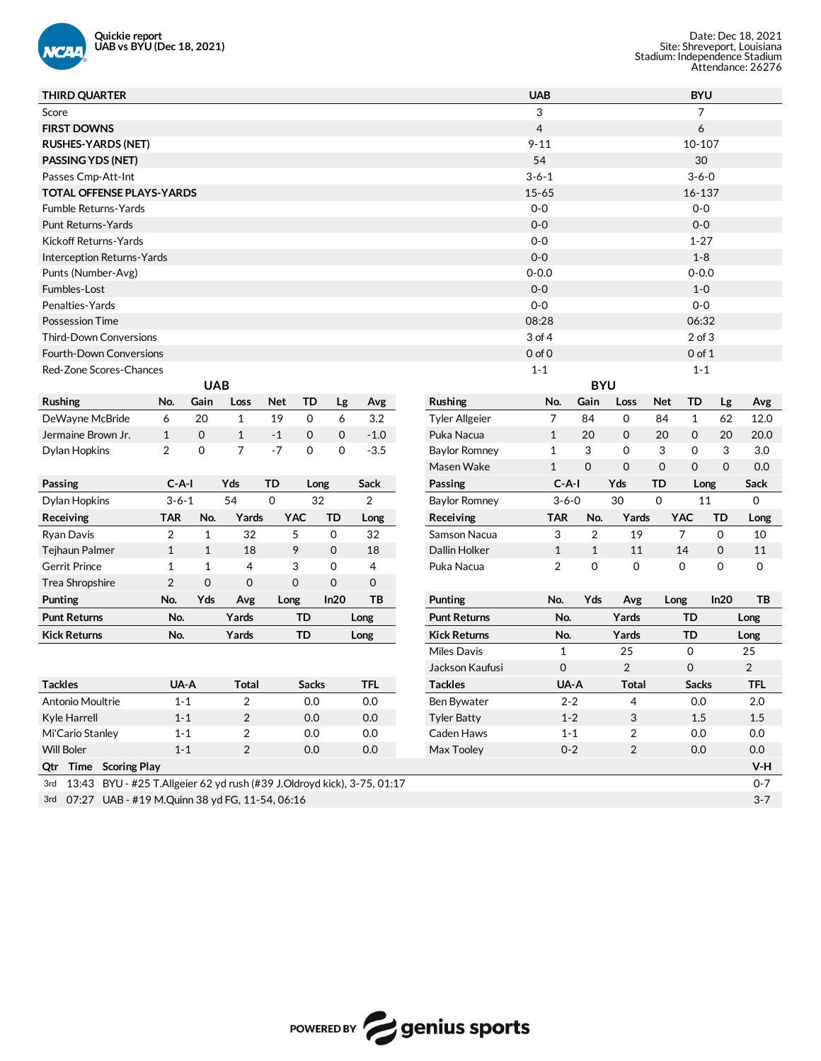

| <b>THIRD QUARTER</b>                                                           |                |              |                |             |              |              |            |                       | <b>UAB</b>        |                         |                         |            | <b>BYU</b>     |             |            |
|--------------------------------------------------------------------------------|----------------|--------------|----------------|-------------|--------------|--------------|------------|-----------------------|-------------------|-------------------------|-------------------------|------------|----------------|-------------|------------|
| Score                                                                          |                |              |                |             |              |              |            |                       | 3                 |                         |                         |            | 7              |             |            |
| <b>FIRST DOWNS</b>                                                             |                |              |                |             |              |              |            |                       | 4                 |                         |                         |            | 6              |             |            |
| <b>RUSHES-YARDS (NET)</b>                                                      |                |              |                |             |              |              |            |                       | $9 - 11$          |                         |                         |            | 10-107         |             |            |
| PASSING YDS (NET)                                                              |                |              |                |             |              |              |            |                       | 54                |                         |                         |            | 30             |             |            |
| Passes Cmp-Att-Int                                                             |                |              |                |             |              |              |            |                       | $3 - 6 - 1$       |                         |                         |            | $3 - 6 - 0$    |             |            |
| TOTAL OFFENSE PLAYS-YARDS                                                      |                |              |                |             |              |              |            |                       | $15 - 65$         |                         |                         |            | 16-137         |             |            |
| Fumble Returns-Yards                                                           |                |              |                |             |              |              |            |                       | $0-0$             |                         |                         |            | $0-0$          |             |            |
| <b>Punt Returns-Yards</b>                                                      |                |              |                |             |              |              |            |                       | $0 - 0$           |                         |                         |            | $0 - 0$        |             |            |
| Kickoff Returns-Yards                                                          |                |              |                |             |              |              |            |                       | $0-0$             |                         |                         |            | $1 - 27$       |             |            |
| Interception Returns-Yards                                                     |                |              |                |             |              |              |            |                       | $0 - 0$           |                         |                         |            | $1 - 8$        |             |            |
| Punts (Number-Avg)                                                             |                |              |                |             |              |              |            |                       | $0 - 0.0$         |                         |                         |            | $0 - 0.0$      |             |            |
| Fumbles-Lost                                                                   |                |              |                |             |              |              |            |                       | $0 - 0$           |                         |                         |            | $1 - 0$        |             |            |
| Penalties-Yards                                                                |                |              |                |             |              |              |            |                       | $0-0$             |                         |                         |            | $0-0$          |             |            |
| <b>Possession Time</b>                                                         |                |              |                |             |              |              |            |                       | 08:28             |                         |                         |            | 06:32          |             |            |
| <b>Third-Down Conversions</b>                                                  |                |              |                |             |              |              |            |                       | 3 of 4            |                         |                         |            | $2$ of $3$     |             |            |
| <b>Fourth-Down Conversions</b>                                                 |                |              |                |             |              |              |            |                       | 0 <sub>of</sub> 0 |                         |                         |            | $0$ of $1$     |             |            |
| Red-Zone Scores-Chances                                                        |                |              |                |             |              |              |            |                       | $1 - 1$           |                         |                         |            | $1 - 1$        |             |            |
|                                                                                |                | <b>UAB</b>   |                |             |              |              |            |                       |                   | <b>BYU</b>              |                         |            |                |             |            |
| <b>Rushing</b>                                                                 | No.            | Gain         | Loss           | <b>Net</b>  | TD           | Lg           | Avg        | <b>Rushing</b>        | No.               | Gain                    | Loss                    | <b>Net</b> | TD             | Lg          | Avg        |
| DeWayne McBride                                                                | 6              | 20           | $\mathbf{1}$   | 19          | 0            | 6            | 3.2        | <b>Tyler Allgeier</b> | 7                 | 84                      | 0                       | 84         | $\mathbf{1}$   | 62          | 12.0       |
| Jermaine Brown Jr.                                                             | 1              | $\mathbf 0$  | $\mathbf{1}$   | $-1$        | $\mathbf 0$  | $\mathbf{0}$ | $-1.0$     | Puka Nacua            | $\mathbf{1}$      | 20                      | $\mathbf 0$             | 20         | 0              | 20          | 20.0       |
| Dylan Hopkins                                                                  | 2              | 0            | $\overline{7}$ | $-7$        | 0            | $\Omega$     | $-3.5$     | <b>Baylor Romney</b>  | $\mathbf{1}$      | 3                       | 0                       | 3          | 0              | 3           | 3.0        |
|                                                                                |                |              |                |             |              |              |            | Masen Wake            | $\mathbf{1}$      | $\mathbf 0$             | $\mathbf 0$             | $\Omega$   | $\mathbf 0$    | $\Omega$    | 0.0        |
| Passing                                                                        | $C-A-I$        |              | Yds            | TD          | Long         |              | Sack       | Passing               | $C-A-I$           |                         | Yds                     | TD         | Long           |             | Sack       |
| Dylan Hopkins                                                                  | $3 - 6 - 1$    |              | 54             | $\mathbf 0$ | 32           |              | 2          | <b>Baylor Romney</b>  | $3 - 6 - 0$       |                         | 30                      | $\Omega$   | 11             |             | 0          |
| Receiving                                                                      | <b>TAR</b>     | No.          | Yards          | <b>YAC</b>  | TD           |              | Long       | Receiving             | <b>TAR</b>        | No.                     | Yards                   |            | YAC            | TD          | Long       |
| Ryan Davis                                                                     | $\overline{2}$ | $\mathbf{1}$ | 32             | 5           | 0            |              | 32         | Samson Nacua          | 3                 | $\overline{\mathbf{c}}$ | 19                      |            | $\overline{7}$ | $\mathbf 0$ | 10         |
| Tejhaun Palmer                                                                 | $\mathbf{1}$   | $\mathbf{1}$ | 18             | 9           | $\mathbf 0$  |              | 18         | Dallin Holker         | $\mathbf{1}$      | $\mathbf{1}$            | 11                      |            | 14             | $\mathbf 0$ | 11         |
| <b>Gerrit Prince</b>                                                           | $\mathbf{1}$   | $\mathbf{1}$ | 4              | 3           | 0            |              | 4          | Puka Nacua            | 2                 | 0                       | 0                       |            | 0              | 0           | 0          |
| Trea Shropshire                                                                | $\overline{2}$ | $\mathbf 0$  | $\mathbf 0$    | $\mathbf 0$ | 0            |              | 0          |                       |                   |                         |                         |            |                |             |            |
| Punting                                                                        | No.            | Yds          | Avg            | Long        |              | ln20         | ТB         | Punting               | No.               | Yds                     | Avg                     | Long       |                | In20        | TB         |
| <b>Punt Returns</b>                                                            | No.            |              | Yards          |             | <b>TD</b>    |              | Long       | <b>Punt Returns</b>   | No.               |                         | Yards                   |            | TD             |             | Long       |
| <b>Kick Returns</b>                                                            | No.            |              | Yards          |             | TD           |              | Long       | <b>Kick Returns</b>   | No.               |                         | Yards                   |            | TD             |             | Long       |
|                                                                                |                |              |                |             |              |              |            | Miles Davis           | $\mathbf{1}$      |                         | 25                      |            | 0              |             | 25         |
|                                                                                |                |              |                |             |              |              |            | Jackson Kaufusi       | $\mathbf 0$       |                         | $\overline{2}$          |            | $\mathbf 0$    |             | 2          |
| <b>Tackles</b>                                                                 | UA-A           |              | <b>Total</b>   |             | <b>Sacks</b> |              | <b>TFL</b> | <b>Tackles</b>        |                   | UA-A                    | <b>Total</b>            |            | <b>Sacks</b>   |             | <b>TFL</b> |
| Antonio Moultrie                                                               | $1 - 1$        |              | $\overline{2}$ |             | 0.0          |              | 0.0        | Ben Bywater           |                   | $2 - 2$                 | 4                       |            | 0.0            |             | 2.0        |
| Kyle Harrell                                                                   | $1 - 1$        |              | $\overline{c}$ |             | 0.0          |              | 0.0        | <b>Tyler Batty</b>    |                   | $1 - 2$                 | 3                       |            | 1.5            |             | $1.5\,$    |
| Mi'Cario Stanley                                                               | $1 - 1$        |              | $\overline{c}$ |             | 0.0          |              | 0.0        | Caden Haws            |                   | $1 - 1$                 | 2                       |            | 0.0            |             | 0.0        |
| Will Boler                                                                     | $1 - 1$        |              | $\overline{c}$ |             | 0.0          |              | $0.0\,$    | Max Tooley            |                   | $0 - 2$                 | $\overline{\mathbf{c}}$ |            | 0.0            |             | 0.0        |
| Qtr Time Scoring Play                                                          |                |              |                |             |              |              |            |                       |                   |                         |                         |            |                |             | V-H        |
| 13:43 BYU - #25 T.Allgeier 62 yd rush (#39 J.Oldroyd kick), 3-75, 01:17<br>3rd |                |              |                |             |              |              |            |                       |                   |                         |                         |            |                |             | $0 - 7$    |
| 3rd 07:27 UAB - #19 M.Quinn 38 yd FG, 11-54, 06:16                             |                |              |                |             |              |              |            |                       |                   |                         |                         |            |                |             | $3 - 7$    |

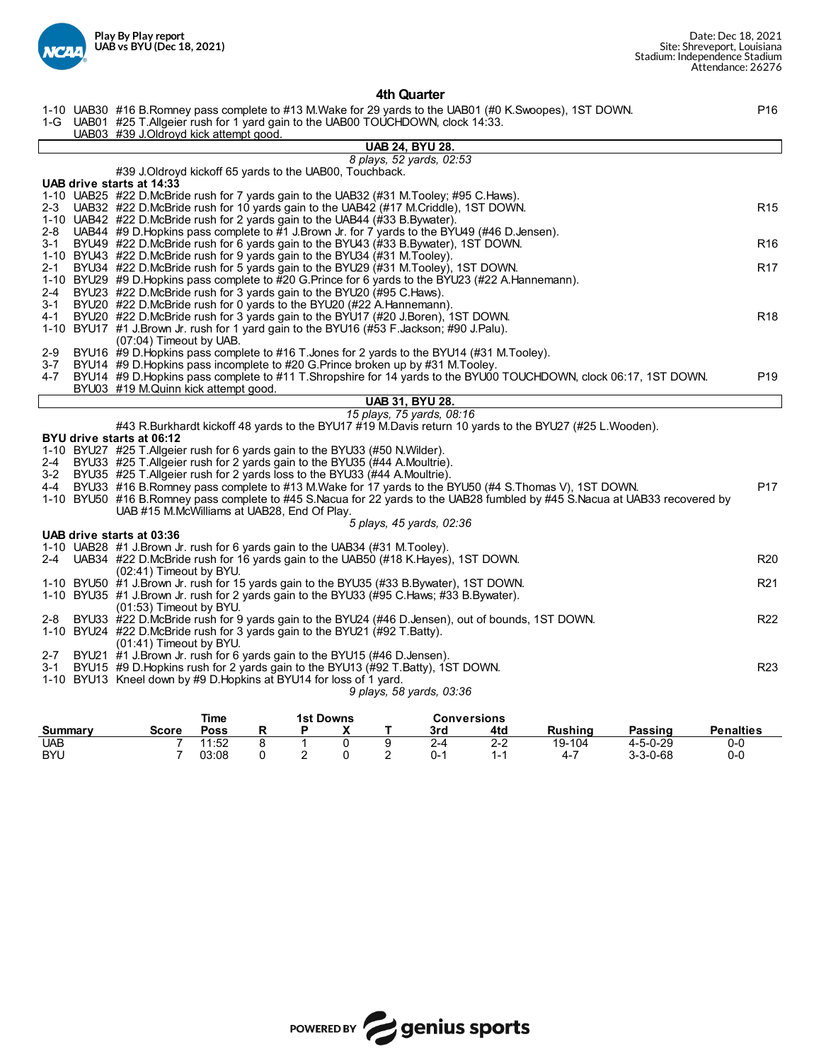

## **4th Quarter**

1-10 UAB30 #16 B.Romney pass complete to #13 M.Wake for 29 yards to the UAB01 (#0 K.Swoopes), 1ST DOWN. P16

|         | i-10 ORD30 #10 D.Ruffliey pass complete to #13 M.Yvake for 29 yards to the ORD01 (#0 K.3WOOPes), 131 DOWN.<br>1-G UAB01 #25 T. Allgeier rush for 1 yard gain to the UAB00 TOUCHDOWN, clock 14:33. | <b>FIU</b>      |
|---------|---------------------------------------------------------------------------------------------------------------------------------------------------------------------------------------------------|-----------------|
|         | UAB03 #39 J.Oldroyd kick attempt good.                                                                                                                                                            |                 |
|         | <b>UAB 24, BYU 28.</b>                                                                                                                                                                            |                 |
|         | 8 plays, 52 yards, 02:53<br>#39 J. Oldroyd kickoff 65 yards to the UAB00, Touchback.                                                                                                              |                 |
|         | UAB drive starts at 14:33                                                                                                                                                                         |                 |
|         | 1-10 UAB25 #22 D.McBride rush for 7 yards gain to the UAB32 (#31 M.Tooley; #95 C.Haws).                                                                                                           |                 |
| 2-3     | UAB32 #22 D.McBride rush for 10 yards gain to the UAB42 (#17 M.Criddle), 1ST DOWN.                                                                                                                | R <sub>15</sub> |
|         | 1-10 UAB42 #22 D.McBride rush for 2 yards gain to the UAB44 (#33 B.Bywater).                                                                                                                      |                 |
| 2-8     | UAB44 #9 D. Hopkins pass complete to #1 J. Brown Jr. for 7 yards to the BYU49 (#46 D. Jensen).                                                                                                    |                 |
| 3-1     | BYU49 #22 D.McBride rush for 6 yards gain to the BYU43 (#33 B.Bywater), 1ST DOWN.                                                                                                                 | R <sub>16</sub> |
|         | 1-10 BYU43 #22 D.McBride rush for 9 yards gain to the BYU34 (#31 M.Tooley).                                                                                                                       |                 |
| 2-1     | BYU34 #22 D.McBride rush for 5 yards gain to the BYU29 (#31 M.Tooley), 1ST DOWN.<br>1-10 BYU29 #9 D. Hopkins pass complete to #20 G. Prince for 6 yards to the BYU23 (#22 A. Hannemann).          | R <sub>17</sub> |
| 2-4     | BYU23 #22 D.McBride rush for 3 yards gain to the BYU20 (#95 C.Haws).                                                                                                                              |                 |
| 3-1     | BYU20 #22 D.McBride rush for 0 yards to the BYU20 (#22 A.Hannemann).                                                                                                                              |                 |
| 4-1     | BYU20 #22 D.McBride rush for 3 yards gain to the BYU17 (#20 J.Boren), 1ST DOWN.                                                                                                                   | R <sub>18</sub> |
|         | 1-10 BYU17 #1 J.Brown Jr. rush for 1 yard gain to the BYU16 (#53 F.Jackson; #90 J.Palu).                                                                                                          |                 |
|         | (07:04) Timeout by UAB.                                                                                                                                                                           |                 |
| 2-9     | BYU16 #9 D. Hopkins pass complete to #16 T. Jones for 2 yards to the BYU14 (#31 M. Tooley).                                                                                                       |                 |
| 3-7     | BYU14 #9 D.Hopkins pass incomplete to #20 G.Prince broken up by #31 M.Tooley.                                                                                                                     |                 |
|         | 4-7 BYU14 #9 D. Hopkins pass complete to #11 T. Shropshire for 14 yards to the BYU00 TOUCHDOWN, clock 06:17, 1ST DOWN.                                                                            | P <sub>19</sub> |
|         | BYU03 #19 M.Quinn kick attempt good.<br><b>UAB 31, BYU 28.</b>                                                                                                                                    |                 |
|         | 15 plays, 75 yards, 08:16                                                                                                                                                                         |                 |
|         | #43 R.Burkhardt kickoff 48 yards to the BYU17 #19 M.Davis return 10 yards to the BYU27 (#25 L.Wooden).                                                                                            |                 |
|         | BYU drive starts at 06:12                                                                                                                                                                         |                 |
|         | 1-10 BYU27 #25 T.Allgeier rush for 6 yards gain to the BYU33 (#50 N.Wilder).                                                                                                                      |                 |
| 2-4     | BYU33 #25 T.Allgeier rush for 2 yards gain to the BYU35 (#44 A.Moultrie).                                                                                                                         |                 |
|         | 3-2 BYU35 #25 T.Allgeier rush for 2 yards loss to the BYU33 (#44 A.Moultrie).                                                                                                                     |                 |
|         | 4-4 BYU33 #16 B.Romney pass complete to #13 M.Wake for 17 yards to the BYU50 (#4 S.Thomas V), 1ST DOWN.                                                                                           | P <sub>17</sub> |
|         | 1-10 BYU50 #16 B.Romney pass complete to #45 S.Nacua for 22 yards to the UAB28 fumbled by #45 S.Nacua at UAB33 recovered by<br>UAB #15 M.McWilliams at UAB28, End Of Play.                        |                 |
|         | 5 plays, 45 yards, 02:36                                                                                                                                                                          |                 |
|         | UAB drive starts at 03:36                                                                                                                                                                         |                 |
|         | 1-10 UAB28 #1 J.Brown Jr. rush for 6 yards gain to the UAB34 (#31 M.Tooley).                                                                                                                      |                 |
|         | 2-4 UAB34 #22 D.McBride rush for 16 yards gain to the UAB50 (#18 K.Hayes), 1ST DOWN.                                                                                                              | R <sub>20</sub> |
|         | (02:41) Timeout by BYU.                                                                                                                                                                           |                 |
|         | 1-10 BYU50 #1 J.Brown Jr. rush for 15 yards gain to the BYU35 (#33 B.Bywater), 1ST DOWN.                                                                                                          | R <sub>21</sub> |
|         | 1-10 BYU35 #1 J.Brown Jr. rush for 2 yards gain to the BYU33 (#95 C.Haws; #33 B.Bywater).                                                                                                         |                 |
| 2-8     | (01:53) Timeout by BYU.<br>BYU33 #22 D.McBride rush for 9 yards gain to the BYU24 (#46 D.Jensen), out of bounds, 1ST DOWN.                                                                        | R <sub>22</sub> |
|         | 1-10 BYU24 #22 D.McBride rush for 3 yards gain to the BYU21 (#92 T.Batty).                                                                                                                        |                 |
|         | (01:41) Timeout by BYU.                                                                                                                                                                           |                 |
| $2 - 7$ | BYU21 #1 J.Brown Jr. rush for 6 yards gain to the BYU15 (#46 D.Jensen).                                                                                                                           |                 |
| 3-1     | BYU15 #9 D. Hopkins rush for 2 yards gain to the BYU13 (#92 T. Batty), 1ST DOWN.                                                                                                                  | R <sub>23</sub> |
|         | 1-10 BYU13 Kneel down by #9 D. Hopkins at BYU14 for loss of 1 yard.                                                                                                                               |                 |
|         | 9 plays, 58 yards, 03:36                                                                                                                                                                          |                 |
|         | Time<br><b>1st Downs</b><br><b>Conversions</b>                                                                                                                                                    |                 |
|         |                                                                                                                                                                                                   |                 |

|            |       | ∎ıme  |  | <b>1St DOWNS</b> |     | Conversions |         |                  |                  |
|------------|-------|-------|--|------------------|-----|-------------|---------|------------------|------------------|
| Summarv    | Score | Poss  |  |                  | 3rd | 4td         | Rushina | Passing          | <b>Penalties</b> |
| <b>UAB</b> |       | 1:52  |  |                  |     | າາ<br>2-2   | 19-104  | $4 - 5 - 0 - 29$ | 0-0              |
| <b>BYU</b> |       | 03:08 |  |                  | 0-1 |             |         | $3 - 3 - 0 - 68$ | 0-0              |